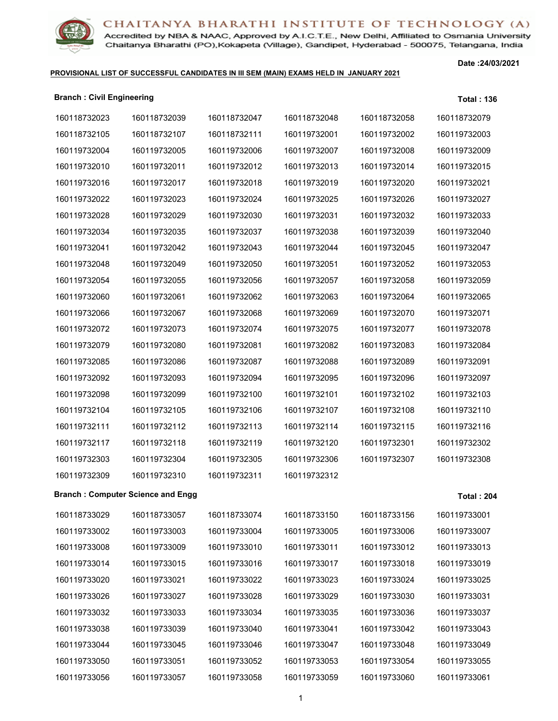

Accredited by NBA & NAAC, Approved by A.I.C.T.E., New Delhi, Affiliated to Osmania University Chaitanya Bharathi (PO), Kokapeta (Village), Gandipet, Hyderabad - 500075, Telangana, India

#### **PROVISIONAL LIST OF SUCCESSFUL CANDIDATES IN III SEM (MAIN) EXAMS HELD IN JANUARY 2021**

| <b>Branch: Civil Engineering</b> |                                          |              |              |              | <b>Total: 136</b> |
|----------------------------------|------------------------------------------|--------------|--------------|--------------|-------------------|
| 160118732023                     | 160118732039                             | 160118732047 | 160118732048 | 160118732058 | 160118732079      |
| 160118732105                     | 160118732107                             | 160118732111 | 160119732001 | 160119732002 | 160119732003      |
| 160119732004                     | 160119732005                             | 160119732006 | 160119732007 | 160119732008 | 160119732009      |
| 160119732010                     | 160119732011                             | 160119732012 | 160119732013 | 160119732014 | 160119732015      |
| 160119732016                     | 160119732017                             | 160119732018 | 160119732019 | 160119732020 | 160119732021      |
| 160119732022                     | 160119732023                             | 160119732024 | 160119732025 | 160119732026 | 160119732027      |
| 160119732028                     | 160119732029                             | 160119732030 | 160119732031 | 160119732032 | 160119732033      |
| 160119732034                     | 160119732035                             | 160119732037 | 160119732038 | 160119732039 | 160119732040      |
| 160119732041                     | 160119732042                             | 160119732043 | 160119732044 | 160119732045 | 160119732047      |
| 160119732048                     | 160119732049                             | 160119732050 | 160119732051 | 160119732052 | 160119732053      |
| 160119732054                     | 160119732055                             | 160119732056 | 160119732057 | 160119732058 | 160119732059      |
| 160119732060                     | 160119732061                             | 160119732062 | 160119732063 | 160119732064 | 160119732065      |
| 160119732066                     | 160119732067                             | 160119732068 | 160119732069 | 160119732070 | 160119732071      |
| 160119732072                     | 160119732073                             | 160119732074 | 160119732075 | 160119732077 | 160119732078      |
| 160119732079                     | 160119732080                             | 160119732081 | 160119732082 | 160119732083 | 160119732084      |
| 160119732085                     | 160119732086                             | 160119732087 | 160119732088 | 160119732089 | 160119732091      |
| 160119732092                     | 160119732093                             | 160119732094 | 160119732095 | 160119732096 | 160119732097      |
| 160119732098                     | 160119732099                             | 160119732100 | 160119732101 | 160119732102 | 160119732103      |
| 160119732104                     | 160119732105                             | 160119732106 | 160119732107 | 160119732108 | 160119732110      |
| 160119732111                     | 160119732112                             | 160119732113 | 160119732114 | 160119732115 | 160119732116      |
| 160119732117                     | 160119732118                             | 160119732119 | 160119732120 | 160119732301 | 160119732302      |
| 160119732303                     | 160119732304                             | 160119732305 | 160119732306 | 160119732307 | 160119732308      |
| 160119732309                     | 160119732310                             | 160119732311 | 160119732312 |              |                   |
|                                  | <b>Branch: Computer Science and Engg</b> |              |              |              | <b>Total: 204</b> |
| 160118733029                     | 160118733057                             | 160118733074 | 160118733150 | 160118733156 | 160119733001      |
| 160119733002                     | 160119733003                             | 160119733004 | 160119733005 | 160119733006 | 160119733007      |
| 160119733008                     | 160119733009                             | 160119733010 | 160119733011 | 160119733012 | 160119733013      |
| 160119733014                     | 160119733015                             | 160119733016 | 160119733017 | 160119733018 | 160119733019      |
| 160119733020                     | 160119733021                             | 160119733022 | 160119733023 | 160119733024 | 160119733025      |
| 160119733026                     | 160119733027                             | 160119733028 | 160119733029 | 160119733030 | 160119733031      |
| 160119733032                     | 160119733033                             | 160119733034 | 160119733035 | 160119733036 | 160119733037      |
| 160119733038                     | 160119733039                             | 160119733040 | 160119733041 | 160119733042 | 160119733043      |
| 160119733044                     | 160119733045                             | 160119733046 | 160119733047 | 160119733048 | 160119733049      |
| 160119733050                     | 160119733051                             | 160119733052 | 160119733053 | 160119733054 | 160119733055      |
| 160119733056                     | 160119733057                             | 160119733058 | 160119733059 | 160119733060 | 160119733061      |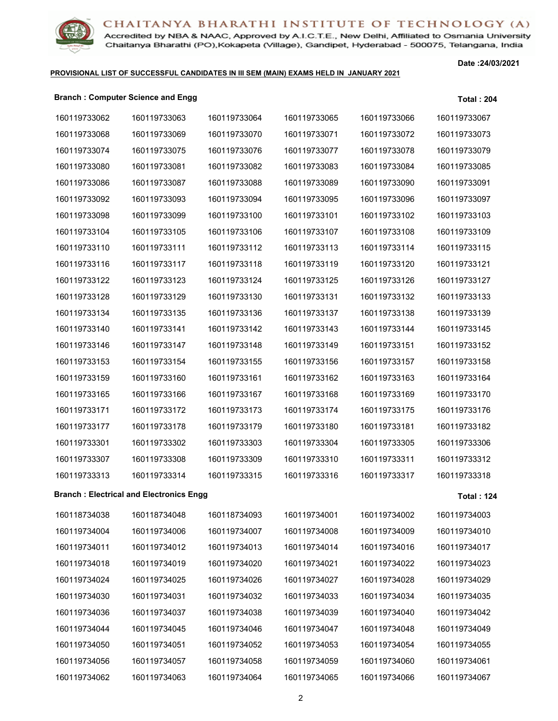

Accredited by NBA & NAAC, Approved by A.I.C.T.E., New Delhi, Affiliated to Osmania University Chaitanya Bharathi (PO), Kokapeta (Village), Gandipet, Hyderabad - 500075, Telangana, India

#### **PROVISIONAL LIST OF SUCCESSFUL CANDIDATES IN III SEM (MAIN) EXAMS HELD IN JANUARY 2021**

**Date :24/03/2021**

#### **Branch : Computer Science and Engg Total : 204**

| 160119733062 | 160119733063                                   | 160119733064 | 160119733065 | 160119733066 | 160119733067      |
|--------------|------------------------------------------------|--------------|--------------|--------------|-------------------|
| 160119733068 | 160119733069                                   | 160119733070 | 160119733071 | 160119733072 | 160119733073      |
| 160119733074 | 160119733075                                   | 160119733076 | 160119733077 | 160119733078 | 160119733079      |
| 160119733080 | 160119733081                                   | 160119733082 | 160119733083 | 160119733084 | 160119733085      |
| 160119733086 | 160119733087                                   | 160119733088 | 160119733089 | 160119733090 | 160119733091      |
| 160119733092 | 160119733093                                   | 160119733094 | 160119733095 | 160119733096 | 160119733097      |
| 160119733098 | 160119733099                                   | 160119733100 | 160119733101 | 160119733102 | 160119733103      |
| 160119733104 | 160119733105                                   | 160119733106 | 160119733107 | 160119733108 | 160119733109      |
| 160119733110 | 160119733111                                   | 160119733112 | 160119733113 | 160119733114 | 160119733115      |
| 160119733116 | 160119733117                                   | 160119733118 | 160119733119 | 160119733120 | 160119733121      |
| 160119733122 | 160119733123                                   | 160119733124 | 160119733125 | 160119733126 | 160119733127      |
| 160119733128 | 160119733129                                   | 160119733130 | 160119733131 | 160119733132 | 160119733133      |
| 160119733134 | 160119733135                                   | 160119733136 | 160119733137 | 160119733138 | 160119733139      |
| 160119733140 | 160119733141                                   | 160119733142 | 160119733143 | 160119733144 | 160119733145      |
| 160119733146 | 160119733147                                   | 160119733148 | 160119733149 | 160119733151 | 160119733152      |
| 160119733153 | 160119733154                                   | 160119733155 | 160119733156 | 160119733157 | 160119733158      |
| 160119733159 | 160119733160                                   | 160119733161 | 160119733162 | 160119733163 | 160119733164      |
| 160119733165 | 160119733166                                   | 160119733167 | 160119733168 | 160119733169 | 160119733170      |
| 160119733171 | 160119733172                                   | 160119733173 | 160119733174 | 160119733175 | 160119733176      |
| 160119733177 | 160119733178                                   | 160119733179 | 160119733180 | 160119733181 | 160119733182      |
| 160119733301 | 160119733302                                   | 160119733303 | 160119733304 | 160119733305 | 160119733306      |
| 160119733307 | 160119733308                                   | 160119733309 | 160119733310 | 160119733311 | 160119733312      |
| 160119733313 | 160119733314                                   | 160119733315 | 160119733316 | 160119733317 | 160119733318      |
|              | <b>Branch: Electrical and Electronics Engg</b> |              |              |              | <b>Total: 124</b> |
| 160118734038 | 160118734048                                   | 160118734093 | 160119734001 | 160119734002 | 160119734003      |
| 160119734004 | 160119734006                                   | 160119734007 | 160119734008 | 160119734009 | 160119734010      |
| 160119734011 | 160119734012                                   | 160119734013 | 160119734014 | 160119734016 | 160119734017      |
| 160119734018 | 160119734019                                   | 160119734020 | 160119734021 | 160119734022 | 160119734023      |
| 160119734024 | 160119734025                                   | 160119734026 | 160119734027 | 160119734028 | 160119734029      |
| 160119734030 | 160119734031                                   | 160119734032 | 160119734033 | 160119734034 | 160119734035      |
| 160119734036 | 160119734037                                   | 160119734038 | 160119734039 | 160119734040 | 160119734042      |
| 160119734044 | 160119734045                                   | 160119734046 | 160119734047 | 160119734048 | 160119734049      |
| 160119734050 | 160119734051                                   | 160119734052 | 160119734053 | 160119734054 | 160119734055      |
| 160119734056 | 160119734057                                   | 160119734058 | 160119734059 | 160119734060 | 160119734061      |
| 160119734062 | 160119734063                                   | 160119734064 | 160119734065 | 160119734066 | 160119734067      |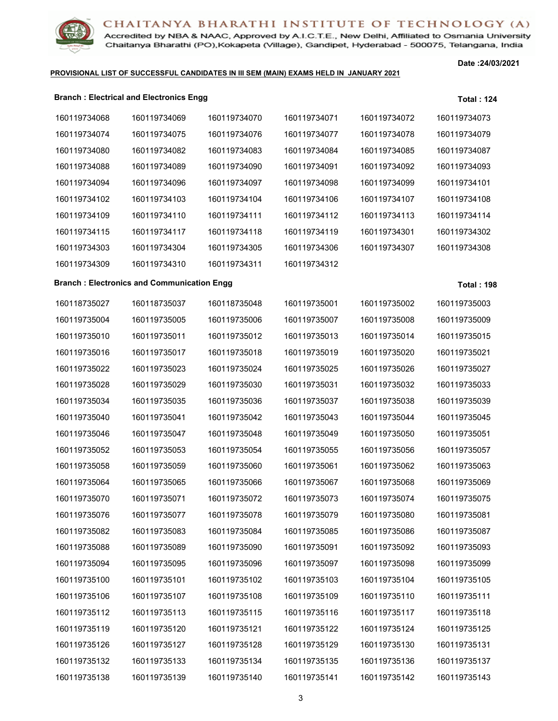

Accredited by NBA & NAAC, Approved by A.I.C.T.E., New Delhi, Affiliated to Osmania University Chaitanya Bharathi (PO), Kokapeta (Village), Gandipet, Hyderabad - 500075, Telangana, India

#### **PROVISIONAL LIST OF SUCCESSFUL CANDIDATES IN III SEM (MAIN) EXAMS HELD IN JANUARY 2021**

|              | <b>Branch: Electrical and Electronics Engg</b>    |              |              |              | <b>Total: 124</b> |
|--------------|---------------------------------------------------|--------------|--------------|--------------|-------------------|
| 160119734068 | 160119734069                                      | 160119734070 | 160119734071 | 160119734072 | 160119734073      |
| 160119734074 | 160119734075                                      | 160119734076 | 160119734077 | 160119734078 | 160119734079      |
| 160119734080 | 160119734082                                      | 160119734083 | 160119734084 | 160119734085 | 160119734087      |
| 160119734088 | 160119734089                                      | 160119734090 | 160119734091 | 160119734092 | 160119734093      |
| 160119734094 | 160119734096                                      | 160119734097 | 160119734098 | 160119734099 | 160119734101      |
| 160119734102 | 160119734103                                      | 160119734104 | 160119734106 | 160119734107 | 160119734108      |
| 160119734109 | 160119734110                                      | 160119734111 | 160119734112 | 160119734113 | 160119734114      |
| 160119734115 | 160119734117                                      | 160119734118 | 160119734119 | 160119734301 | 160119734302      |
| 160119734303 | 160119734304                                      | 160119734305 | 160119734306 | 160119734307 | 160119734308      |
| 160119734309 | 160119734310                                      | 160119734311 | 160119734312 |              |                   |
|              | <b>Branch: Electronics and Communication Engg</b> |              |              |              | <b>Total: 198</b> |
| 160118735027 | 160118735037                                      | 160118735048 | 160119735001 | 160119735002 | 160119735003      |
| 160119735004 | 160119735005                                      | 160119735006 | 160119735007 | 160119735008 | 160119735009      |
| 160119735010 | 160119735011                                      | 160119735012 | 160119735013 | 160119735014 | 160119735015      |
| 160119735016 | 160119735017                                      | 160119735018 | 160119735019 | 160119735020 | 160119735021      |
| 160119735022 | 160119735023                                      | 160119735024 | 160119735025 | 160119735026 | 160119735027      |
| 160119735028 | 160119735029                                      | 160119735030 | 160119735031 | 160119735032 | 160119735033      |
| 160119735034 | 160119735035                                      | 160119735036 | 160119735037 | 160119735038 | 160119735039      |
| 160119735040 | 160119735041                                      | 160119735042 | 160119735043 | 160119735044 | 160119735045      |
| 160119735046 | 160119735047                                      | 160119735048 | 160119735049 | 160119735050 | 160119735051      |
| 160119735052 | 160119735053                                      | 160119735054 | 160119735055 | 160119735056 | 160119735057      |
| 160119735058 | 160119735059                                      | 160119735060 | 160119735061 | 160119735062 | 160119735063      |
| 160119735064 | 160119735065                                      | 160119735066 | 160119735067 | 160119735068 | 160119735069      |
| 160119735070 | 160119735071                                      | 160119735072 | 160119735073 | 160119735074 | 160119735075      |
| 160119735076 | 160119735077                                      | 160119735078 | 160119735079 | 160119735080 | 160119735081      |
| 160119735082 | 160119735083                                      | 160119735084 | 160119735085 | 160119735086 | 160119735087      |
| 160119735088 | 160119735089                                      | 160119735090 | 160119735091 | 160119735092 | 160119735093      |
| 160119735094 | 160119735095                                      | 160119735096 | 160119735097 | 160119735098 | 160119735099      |
| 160119735100 | 160119735101                                      | 160119735102 | 160119735103 | 160119735104 | 160119735105      |
| 160119735106 | 160119735107                                      | 160119735108 | 160119735109 | 160119735110 | 160119735111      |
| 160119735112 | 160119735113                                      | 160119735115 | 160119735116 | 160119735117 | 160119735118      |
| 160119735119 | 160119735120                                      | 160119735121 | 160119735122 | 160119735124 | 160119735125      |
| 160119735126 | 160119735127                                      | 160119735128 | 160119735129 | 160119735130 | 160119735131      |
| 160119735132 | 160119735133                                      | 160119735134 | 160119735135 | 160119735136 | 160119735137      |
| 160119735138 | 160119735139                                      | 160119735140 | 160119735141 | 160119735142 | 160119735143      |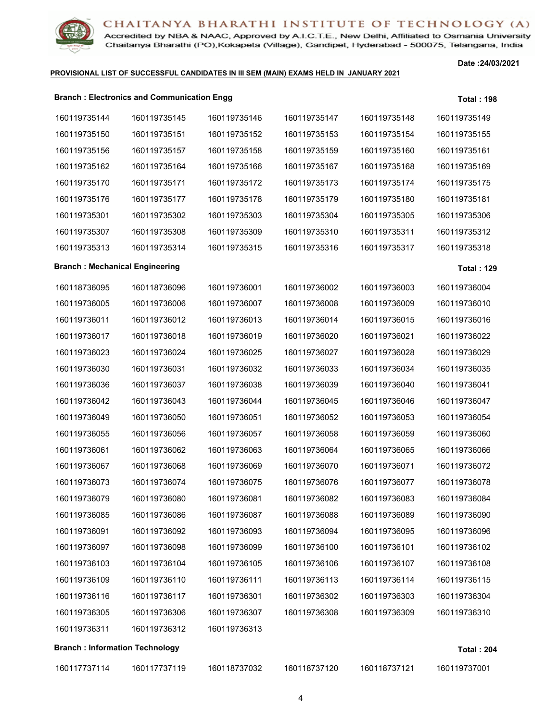

Accredited by NBA & NAAC, Approved by A.I.C.T.E., New Delhi, Affiliated to Osmania University Chaitanya Bharathi (PO), Kokapeta (Village), Gandipet, Hyderabad - 500075, Telangana, India

#### **PROVISIONAL LIST OF SUCCESSFUL CANDIDATES IN III SEM (MAIN) EXAMS HELD IN JANUARY 2021**

|                                       | <b>Branch: Electronics and Communication Engg</b> |              |              |              | <b>Total: 198</b> |
|---------------------------------------|---------------------------------------------------|--------------|--------------|--------------|-------------------|
| 160119735144                          | 160119735145                                      | 160119735146 | 160119735147 | 160119735148 | 160119735149      |
| 160119735150                          | 160119735151                                      | 160119735152 | 160119735153 | 160119735154 | 160119735155      |
| 160119735156                          | 160119735157                                      | 160119735158 | 160119735159 | 160119735160 | 160119735161      |
| 160119735162                          | 160119735164                                      | 160119735166 | 160119735167 | 160119735168 | 160119735169      |
| 160119735170                          | 160119735171                                      | 160119735172 | 160119735173 | 160119735174 | 160119735175      |
| 160119735176                          | 160119735177                                      | 160119735178 | 160119735179 | 160119735180 | 160119735181      |
| 160119735301                          | 160119735302                                      | 160119735303 | 160119735304 | 160119735305 | 160119735306      |
| 160119735307                          | 160119735308                                      | 160119735309 | 160119735310 | 160119735311 | 160119735312      |
| 160119735313                          | 160119735314                                      | 160119735315 | 160119735316 | 160119735317 | 160119735318      |
| <b>Branch: Mechanical Engineering</b> |                                                   |              |              |              | <b>Total: 129</b> |
| 160118736095                          | 160118736096                                      | 160119736001 | 160119736002 | 160119736003 | 160119736004      |
| 160119736005                          | 160119736006                                      | 160119736007 | 160119736008 | 160119736009 | 160119736010      |
| 160119736011                          | 160119736012                                      | 160119736013 | 160119736014 | 160119736015 | 160119736016      |
| 160119736017                          | 160119736018                                      | 160119736019 | 160119736020 | 160119736021 | 160119736022      |
| 160119736023                          | 160119736024                                      | 160119736025 | 160119736027 | 160119736028 | 160119736029      |
| 160119736030                          | 160119736031                                      | 160119736032 | 160119736033 | 160119736034 | 160119736035      |
| 160119736036                          | 160119736037                                      | 160119736038 | 160119736039 | 160119736040 | 160119736041      |
| 160119736042                          | 160119736043                                      | 160119736044 | 160119736045 | 160119736046 | 160119736047      |
| 160119736049                          | 160119736050                                      | 160119736051 | 160119736052 | 160119736053 | 160119736054      |
| 160119736055                          | 160119736056                                      | 160119736057 | 160119736058 | 160119736059 | 160119736060      |
| 160119736061                          | 160119736062                                      | 160119736063 | 160119736064 | 160119736065 | 160119736066      |
| 160119736067                          | 160119736068                                      | 160119736069 | 160119736070 | 160119736071 | 160119736072      |
| 160119736073                          | 160119736074                                      | 160119736075 | 160119736076 | 160119736077 | 160119736078      |
| 160119736079                          | 160119736080                                      | 160119736081 | 160119736082 | 160119736083 | 160119736084      |
| 160119736085                          | 160119736086                                      | 160119736087 | 160119736088 | 160119736089 | 160119736090      |
| 160119736091                          | 160119736092                                      | 160119736093 | 160119736094 | 160119736095 | 160119736096      |
| 160119736097                          | 160119736098                                      | 160119736099 | 160119736100 | 160119736101 | 160119736102      |
| 160119736103                          | 160119736104                                      | 160119736105 | 160119736106 | 160119736107 | 160119736108      |
| 160119736109                          | 160119736110                                      | 160119736111 | 160119736113 | 160119736114 | 160119736115      |
| 160119736116                          | 160119736117                                      | 160119736301 | 160119736302 | 160119736303 | 160119736304      |
| 160119736305                          | 160119736306                                      | 160119736307 | 160119736308 | 160119736309 | 160119736310      |
| 160119736311                          | 160119736312                                      | 160119736313 |              |              |                   |
| <b>Branch: Information Technology</b> |                                                   |              |              |              | <b>Total: 204</b> |
| 160117737114                          | 160117737119                                      | 160118737032 | 160118737120 | 160118737121 | 160119737001      |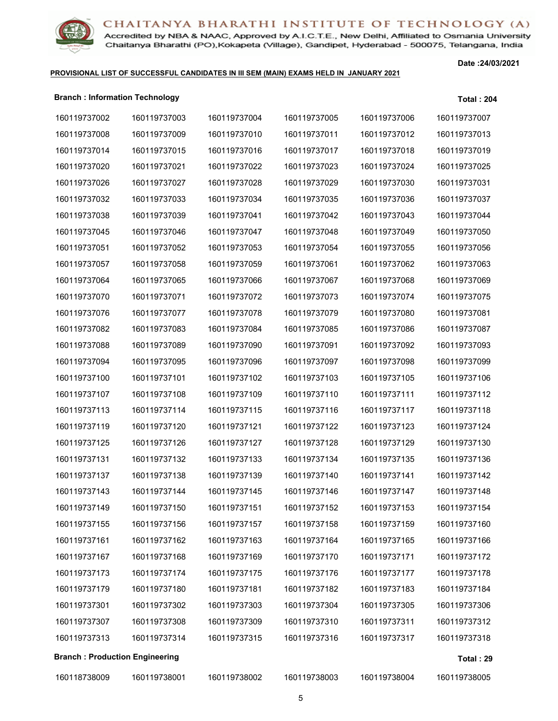

Accredited by NBA & NAAC, Approved by A.I.C.T.E., New Delhi, Affiliated to Osmania University Chaitanya Bharathi (PO), Kokapeta (Village), Gandipet, Hyderabad - 500075, Telangana, India

#### **PROVISIONAL LIST OF SUCCESSFUL CANDIDATES IN III SEM (MAIN) EXAMS HELD IN JANUARY 2021**

| <b>Branch: Information Technology</b> |              |              |              |              | <b>Total: 204</b> |
|---------------------------------------|--------------|--------------|--------------|--------------|-------------------|
| 160119737002                          | 160119737003 | 160119737004 | 160119737005 | 160119737006 | 160119737007      |
| 160119737008                          | 160119737009 | 160119737010 | 160119737011 | 160119737012 | 160119737013      |
| 160119737014                          | 160119737015 | 160119737016 | 160119737017 | 160119737018 | 160119737019      |
| 160119737020                          | 160119737021 | 160119737022 | 160119737023 | 160119737024 | 160119737025      |
| 160119737026                          | 160119737027 | 160119737028 | 160119737029 | 160119737030 | 160119737031      |
| 160119737032                          | 160119737033 | 160119737034 | 160119737035 | 160119737036 | 160119737037      |
| 160119737038                          | 160119737039 | 160119737041 | 160119737042 | 160119737043 | 160119737044      |
| 160119737045                          | 160119737046 | 160119737047 | 160119737048 | 160119737049 | 160119737050      |
| 160119737051                          | 160119737052 | 160119737053 | 160119737054 | 160119737055 | 160119737056      |
| 160119737057                          | 160119737058 | 160119737059 | 160119737061 | 160119737062 | 160119737063      |
| 160119737064                          | 160119737065 | 160119737066 | 160119737067 | 160119737068 | 160119737069      |
| 160119737070                          | 160119737071 | 160119737072 | 160119737073 | 160119737074 | 160119737075      |
| 160119737076                          | 160119737077 | 160119737078 | 160119737079 | 160119737080 | 160119737081      |
| 160119737082                          | 160119737083 | 160119737084 | 160119737085 | 160119737086 | 160119737087      |
| 160119737088                          | 160119737089 | 160119737090 | 160119737091 | 160119737092 | 160119737093      |
| 160119737094                          | 160119737095 | 160119737096 | 160119737097 | 160119737098 | 160119737099      |
| 160119737100                          | 160119737101 | 160119737102 | 160119737103 | 160119737105 | 160119737106      |
| 160119737107                          | 160119737108 | 160119737109 | 160119737110 | 160119737111 | 160119737112      |
| 160119737113                          | 160119737114 | 160119737115 | 160119737116 | 160119737117 | 160119737118      |
| 160119737119                          | 160119737120 | 160119737121 | 160119737122 | 160119737123 | 160119737124      |
| 160119737125                          | 160119737126 | 160119737127 | 160119737128 | 160119737129 | 160119737130      |
| 160119737131                          | 160119737132 | 160119737133 | 160119737134 | 160119737135 | 160119737136      |
| 160119737137                          | 160119737138 | 160119737139 | 160119737140 | 160119737141 | 160119737142      |
| 160119737143                          | 160119737144 | 160119737145 | 160119737146 | 160119737147 | 160119737148      |
| 160119737149                          | 160119737150 | 160119737151 | 160119737152 | 160119737153 | 160119737154      |
| 160119737155                          | 160119737156 | 160119737157 | 160119737158 | 160119737159 | 160119737160      |
| 160119737161                          | 160119737162 | 160119737163 | 160119737164 | 160119737165 | 160119737166      |
| 160119737167                          | 160119737168 | 160119737169 | 160119737170 | 160119737171 | 160119737172      |
| 160119737173                          | 160119737174 | 160119737175 | 160119737176 | 160119737177 | 160119737178      |
| 160119737179                          | 160119737180 | 160119737181 | 160119737182 | 160119737183 | 160119737184      |
| 160119737301                          | 160119737302 | 160119737303 | 160119737304 | 160119737305 | 160119737306      |
| 160119737307                          | 160119737308 | 160119737309 | 160119737310 | 160119737311 | 160119737312      |
| 160119737313                          | 160119737314 | 160119737315 | 160119737316 | 160119737317 | 160119737318      |
| <b>Branch: Production Engineering</b> |              |              |              |              | Total: 29         |
| 160118738009                          | 160119738001 | 160119738002 | 160119738003 | 160119738004 | 160119738005      |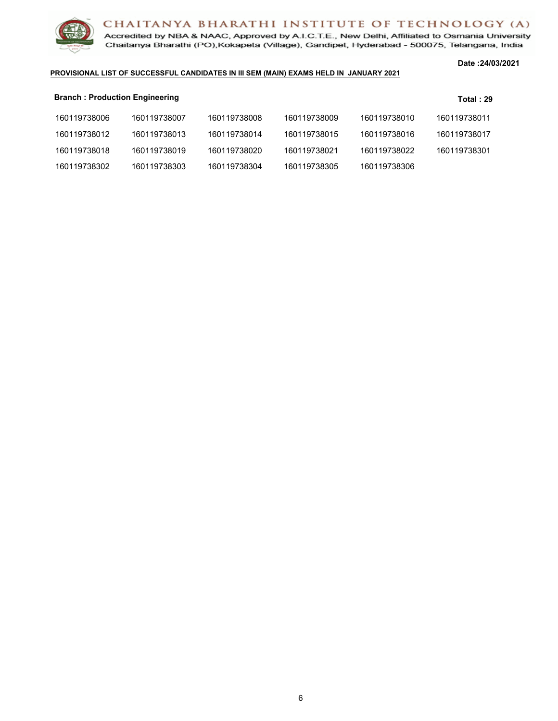

Accredited by NBA & NAAC, Approved by A.I.C.T.E., New Delhi, Affiliated to Osmania University Chaitanya Bharathi (PO), Kokapeta (Village), Gandipet, Hyderabad - 500075, Telangana, India

#### **Date :24/03/2021**

#### **PROVISIONAL LIST OF SUCCESSFUL CANDIDATES IN III SEM (MAIN) EXAMS HELD IN JANUARY 2021**

| <b>Branch: Production Engineering</b> |              |              |              |              | Total: $29$  |
|---------------------------------------|--------------|--------------|--------------|--------------|--------------|
| 160119738006                          | 160119738007 | 160119738008 | 160119738009 | 160119738010 | 160119738011 |
| 160119738012                          | 160119738013 | 160119738014 | 160119738015 | 160119738016 | 160119738017 |
| 160119738018                          | 160119738019 | 160119738020 | 160119738021 | 160119738022 | 160119738301 |
| 160119738302                          | 160119738303 | 160119738304 | 160119738305 | 160119738306 |              |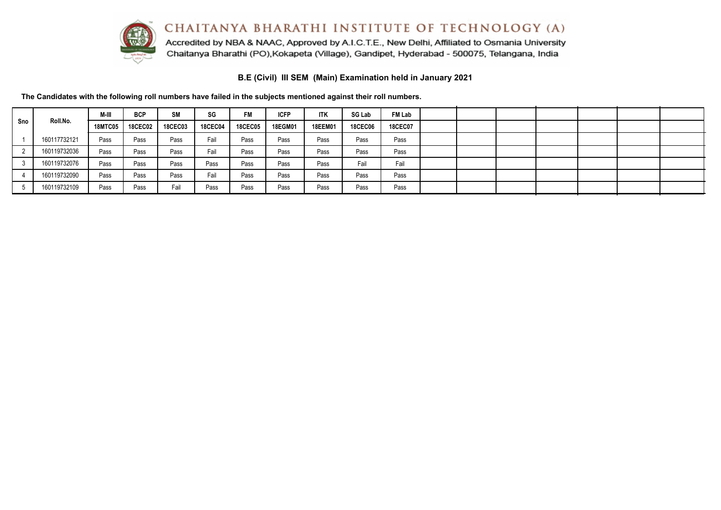

Accredited by NBA & NAAC, Approved by A.I.C.T.E., New Delhi, Affiliated to Osmania University Chaitanya Bharathi (PO), Kokapeta (Village), Gandipet, Hyderabad - 500075, Telangana, India

**B.E (Civil) III SEM (Main) Examination held in January 2021**

**The Candidates with the following roll numbers have failed in the subjects mentioned against their roll numbers.**

|     |              | M-III          | <b>BCP</b>     | <b>SM</b>      | SG             | <b>FM</b>      | <b>ICFP</b>    | <b>ITK</b>     | <b>SG Lab</b>  | <b>FM Lab</b>  |  |  |  |  |
|-----|--------------|----------------|----------------|----------------|----------------|----------------|----------------|----------------|----------------|----------------|--|--|--|--|
| Sno | Roll.No.     | <b>18MTC05</b> | <b>18CEC02</b> | <b>18CEC03</b> | <b>18CEC04</b> | <b>18CEC05</b> | <b>18EGM01</b> | <b>18EEM01</b> | <b>18CEC06</b> | <b>18CEC07</b> |  |  |  |  |
|     | 160117732121 | Pass           | Pass           | Pass           | Fail           | Pass           | Pass           | Pass           | Pass           | Pass           |  |  |  |  |
|     | 160119732036 | Pass           | Pass           | Pass           | Fail           | Pass           | Pass           | Pass           | Pass           | Pass           |  |  |  |  |
|     | 160119732076 | Pass           | Pass           | Pass           | Pass           | Pass           | Pass           | Pass           | Fail           | Fail           |  |  |  |  |
|     | 160119732090 | Pass           | Pass           | Pass           | Fail           | Pass           | Pass           | Pass           | Pass           | Pass           |  |  |  |  |
|     | 160119732109 | Pass           | Pass           | Fail           | Pass           | Pass           | Pass           | Pass           | Pass           | Pass           |  |  |  |  |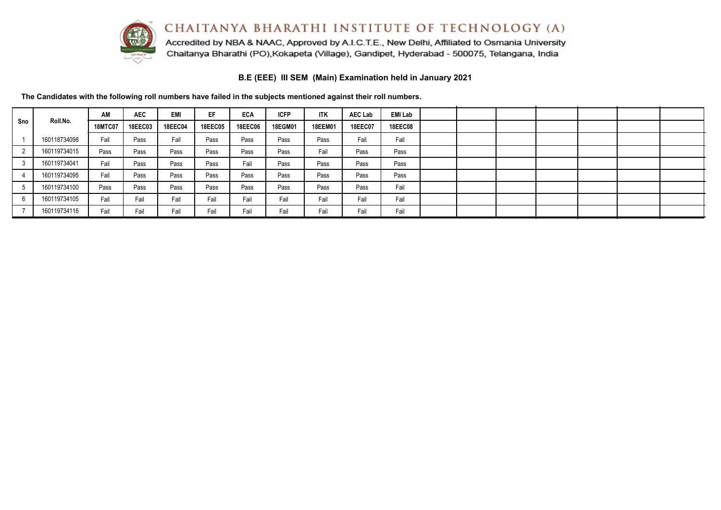

Accredited by NBA & NAAC, Approved by A.I.C.T.E., New Delhi, Affiliated to Osmania University Chaitanya Bharathi (PO), Kokapeta (Village), Gandipet, Hyderabad - 500075, Telangana, India

**B.E (EEE) III SEM (Main) Examination held in January 2021**

**The Candidates with the following roll numbers have failed in the subjects mentioned against their roll numbers.**

|     |              | AM             | <b>AEC</b>     | <b>EMI</b>     | EF             | <b>ECA</b>     | <b>ICFP</b>    | <b>ITK</b>     | <b>AEC Lab</b> | EMI Lab        |  |  |  |  |
|-----|--------------|----------------|----------------|----------------|----------------|----------------|----------------|----------------|----------------|----------------|--|--|--|--|
| Sno | Roll.No.     | <b>18MTC07</b> | <b>18EEC03</b> | <b>18EEC04</b> | <b>18EEC05</b> | <b>18EEC06</b> | <b>18EGM01</b> | <b>18EEM01</b> | <b>18EEC07</b> | <b>18EEC08</b> |  |  |  |  |
|     | 160118734098 | Fail           | Pass           | Fail           | Pass           | Pass           | Pass           | Pass           | Fail           | Fail           |  |  |  |  |
|     | 160119734015 | Pass           | Pass           | Pass           | Pass           | Pass           | Pass           | Fail           | Pass           | Pass           |  |  |  |  |
|     | 160119734041 | Fail           | Pass           | Pass           | Pass           | Fail           | Pass           | Pass           | Pass           | Pass           |  |  |  |  |
|     | 160119734095 | Fail           | Pass           | Pass           | Pass           | Pass           | Pass           | Pass           | Pass           | Pass           |  |  |  |  |
|     | 160119734100 | Pass           | Pass           | Pass           | Pass           | Pass           | Pass           | Pass           | Pass           | Fail           |  |  |  |  |
|     | 160119734105 | Fail           | Fail           | Fail           | Fail           | Fail           | Fail           | Fail           | Fail           | Fail           |  |  |  |  |
|     | 160119734116 | Fail           | Fail           | Fail           | Fail           | Fail           | Fail           | Fail           | Fail           | Fail           |  |  |  |  |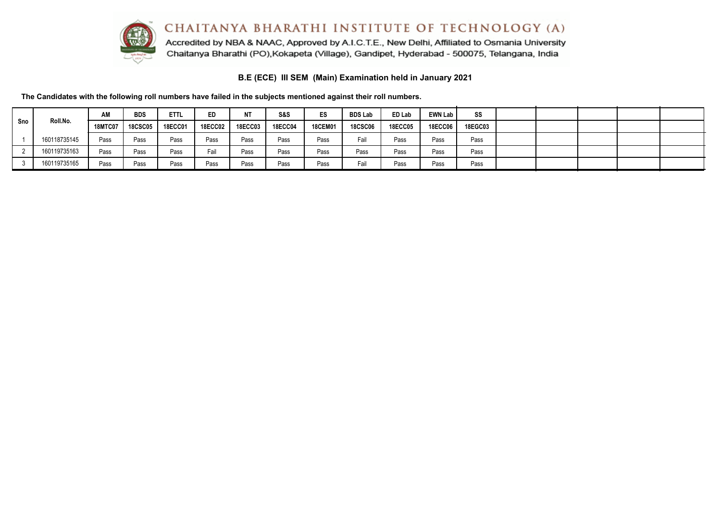CHAITANYA BHARATHI INSTITUTE OF TECHNOLOGY (A) Accredited by NBA & NAAC, Approved by A.I.C.T.E., New Delhi, Affiliated to Osmania University



**B.E (ECE) III SEM (Main) Examination held in January 2021**

Chaitanya Bharathi (PO), Kokapeta (Village), Gandipet, Hyderabad - 500075, Telangana, India

**The Candidates with the following roll numbers have failed in the subjects mentioned against their roll numbers.**

|     |              | AM             | <b>BDS</b>     | <b>ETTL</b>    | ED             | <b>NT</b>      | S&S            | ES             | <b>BDS Lab</b> | ED Lab         | <b>EWN Lab</b> | SS             |  |  |  |
|-----|--------------|----------------|----------------|----------------|----------------|----------------|----------------|----------------|----------------|----------------|----------------|----------------|--|--|--|
| Sno | Roll.No.     | <b>18MTC07</b> | <b>18CSC05</b> | <b>18ECC01</b> | <b>18ECC02</b> | <b>18ECC03</b> | <b>18ECC04</b> | <b>18CEM01</b> | <b>18CSC06</b> | <b>18ECC05</b> | <b>18ECC06</b> | <b>18EGC03</b> |  |  |  |
|     | 160118735145 | Pass           | Pass           | Pass           | Pass           | Pass           | Pass           | Pass           | Fail           | Pass           | Pass           | Pass           |  |  |  |
|     | 160119735163 | Pass           | Pass           | Pass           | Fail           | Pass           | Pass           | Pass           | Pass           | Pass           | Pass           | Pass           |  |  |  |
|     | 160119735165 | Pass           | Pass           | Pass           | Pass           | Pass           | Pass           | Pass           | ™aiı           | Pass           | Pass           | Pass           |  |  |  |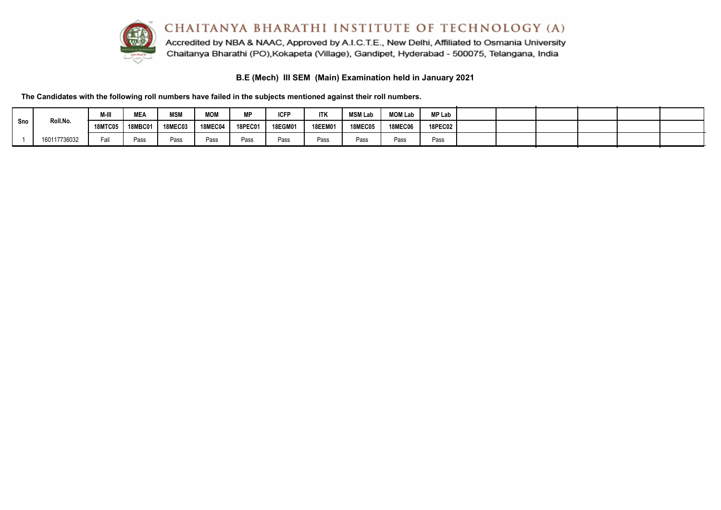

Accredited by NBA & NAAC, Approved by A.I.C.T.E., New Delhi, Affiliated to Osmania University Chaitanya Bharathi (PO), Kokapeta (Village), Gandipet, Hyderabad - 500075, Telangana, India

**B.E (Mech) III SEM (Main) Examination held in January 2021**

**The Candidates with the following roll numbers have failed in the subjects mentioned against their roll numbers.**

|     |              | M-III          | MEA            | <b>MSM</b>     | <b>MOM</b>     | <b>MP</b>      | <b>ICFP</b>    | <b>ITK</b>     | <b>MSM Lab</b> | <b>MOM Lab</b> | MP Lab         |  |  |  |
|-----|--------------|----------------|----------------|----------------|----------------|----------------|----------------|----------------|----------------|----------------|----------------|--|--|--|
| Sno | Roll.No.     | <b>18MTC05</b> | <b>18MBC01</b> | <b>18MEC03</b> | <b>18MEC04</b> | <b>18PEC01</b> | <b>18EGM01</b> | <b>18EEM01</b> | <b>18MEC05</b> | <b>18MEC06</b> | <b>18PEC02</b> |  |  |  |
|     | 160117736032 | Fail           | Pass           | Pass           | Pass           | Pass           | Pass           | Pass           | Pass           | Pass           | Pass           |  |  |  |

 $\sim$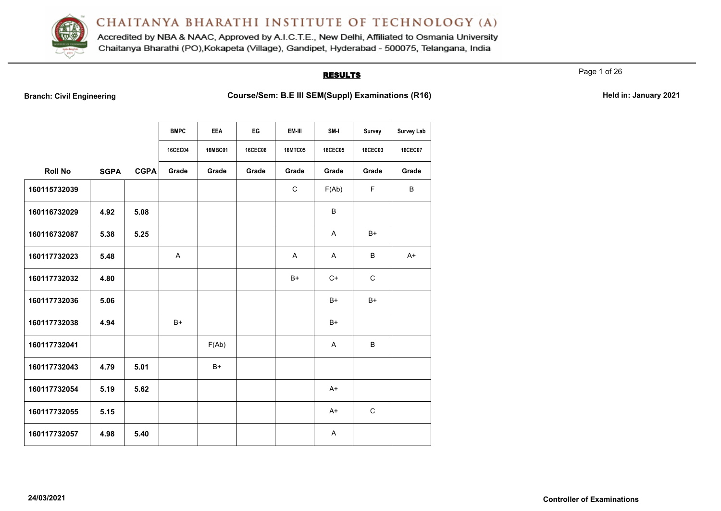

Accredited by NBA & NAAC, Approved by A.I.C.T.E., New Delhi, Affiliated to Osmania University Chaitanya Bharathi (PO), Kokapeta (Village), Gandipet, Hyderabad - 500075, Telangana, India

### **RESULTS**

Page 1 of 26

Branch: Civil Engineering **Course/Sem: B.E III SEM(Suppl) Examinations (R16) Held in: January 2021** 

|                |             |             | <b>BMPC</b>    | <b>EEA</b>     | EG             | EM-III         | SM-I           | Survey         | <b>Survey Lab</b> |
|----------------|-------------|-------------|----------------|----------------|----------------|----------------|----------------|----------------|-------------------|
|                |             |             | <b>16CEC04</b> | <b>16MBC01</b> | <b>16CEC06</b> | <b>16MTC05</b> | <b>16CEC05</b> | <b>16CEC03</b> | <b>16CEC07</b>    |
| <b>Roll No</b> | <b>SGPA</b> | <b>CGPA</b> | Grade          | Grade          | Grade          | Grade          | Grade          | Grade          | Grade             |
| 160115732039   |             |             |                |                |                | C              | F(Ab)          | F              | B                 |
| 160116732029   | 4.92        | 5.08        |                |                |                |                | B              |                |                   |
| 160116732087   | 5.38        | 5.25        |                |                |                |                | A              | $B+$           |                   |
| 160117732023   | 5.48        |             | Α              |                |                | A              | A              | B              | $A+$              |
| 160117732032   | 4.80        |             |                |                |                | $B+$           | $C+$           | $\mathsf{C}$   |                   |
| 160117732036   | 5.06        |             |                |                |                |                | $B+$           | $B+$           |                   |
| 160117732038   | 4.94        |             | B+             |                |                |                | $B+$           |                |                   |
| 160117732041   |             |             |                | F(Ab)          |                |                | A              | B              |                   |
| 160117732043   | 4.79        | 5.01        |                | $B+$           |                |                |                |                |                   |
| 160117732054   | 5.19        | 5.62        |                |                |                |                | $A+$           |                |                   |
| 160117732055   | 5.15        |             |                |                |                |                | $A+$           | $\mathbf C$    |                   |
| 160117732057   | 4.98        | 5.40        |                |                |                |                | A              |                |                   |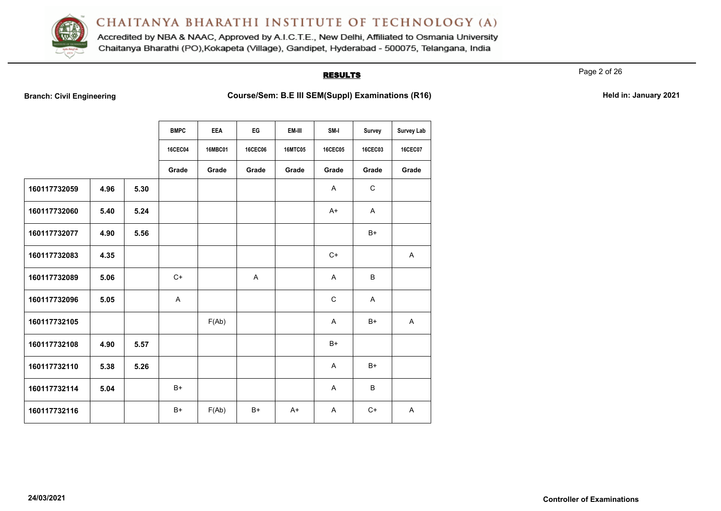

Accredited by NBA & NAAC, Approved by A.I.C.T.E., New Delhi, Affiliated to Osmania University Chaitanya Bharathi (PO), Kokapeta (Village), Gandipet, Hyderabad - 500075, Telangana, India

### **RESULTS**

Page 2 of 26

Branch: Civil Engineering **Course/Sem: B.E III SEM(Suppl) Examinations (R16) Held in: January 2021** 

|              |      |      | <b>BMPC</b>    | <b>EEA</b>     | EG             | EM-III         | SM-I           | Survey         | <b>Survey Lab</b> |
|--------------|------|------|----------------|----------------|----------------|----------------|----------------|----------------|-------------------|
|              |      |      | <b>16CEC04</b> | <b>16MBC01</b> | <b>16CEC06</b> | <b>16MTC05</b> | <b>16CEC05</b> | <b>16CEC03</b> | <b>16CEC07</b>    |
|              |      |      | Grade          | Grade          | Grade          | Grade          | Grade          | Grade          | Grade             |
| 160117732059 | 4.96 | 5.30 |                |                |                |                | A              | $\mathbf C$    |                   |
| 160117732060 | 5.40 | 5.24 |                |                |                |                | $A+$           | A              |                   |
| 160117732077 | 4.90 | 5.56 |                |                |                |                |                | $B+$           |                   |
| 160117732083 | 4.35 |      |                |                |                |                | $C+$           |                | A                 |
| 160117732089 | 5.06 |      | $C+$           |                | A              |                | A              | B              |                   |
| 160117732096 | 5.05 |      | A              |                |                |                | $\mathsf{C}$   | A              |                   |
| 160117732105 |      |      |                | F(Ab)          |                |                | A              | B+             | A                 |
| 160117732108 | 4.90 | 5.57 |                |                |                |                | $B+$           |                |                   |
| 160117732110 | 5.38 | 5.26 |                |                |                |                | $\overline{A}$ | $B+$           |                   |
| 160117732114 | 5.04 |      | B+             |                |                |                | Α              | B              |                   |
| 160117732116 |      |      | $B+$           | F(Ab)          | $B+$           | $A+$           | $\overline{A}$ | $C+$           | A                 |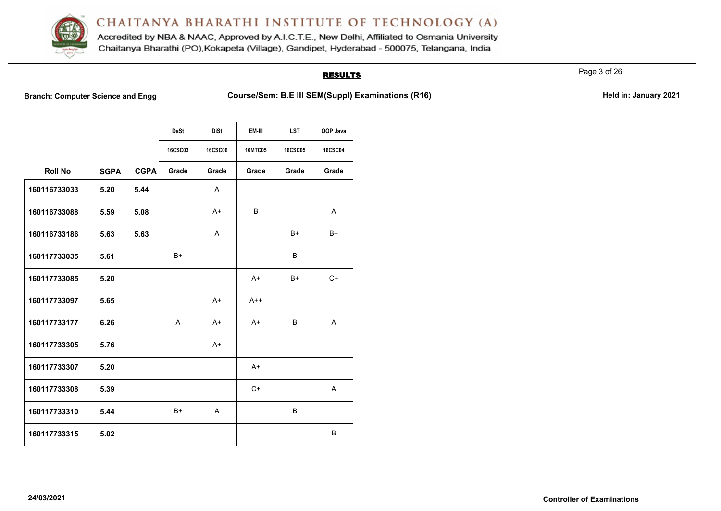

Accredited by NBA & NAAC, Approved by A.I.C.T.E., New Delhi, Affiliated to Osmania University Chaitanya Bharathi (PO), Kokapeta (Village), Gandipet, Hyderabad - 500075, Telangana, India

# **RESULTS**

Page 3 of 26

**Branch: Computer Science and Engg Course/Sem: B.E III SEM(Suppl) Examinations (R16)** Held in: January 2021

|                |             |             | <b>DaSt</b>    | <b>DiSt</b>    | EM-III         | <b>LST</b>     | OOP Java       |
|----------------|-------------|-------------|----------------|----------------|----------------|----------------|----------------|
|                |             |             | <b>16CSC03</b> | <b>16CSC06</b> | <b>16MTC05</b> | <b>16CSC05</b> | <b>16CSC04</b> |
| <b>Roll No</b> | <b>SGPA</b> | <b>CGPA</b> | Grade          | Grade          | Grade          | Grade          | Grade          |
| 160116733033   | 5.20        | 5.44        |                | A              |                |                |                |
| 160116733088   | 5.59        | 5.08        |                | $A+$           | B              |                | A              |
| 160116733186   | 5.63        | 5.63        |                | A              |                | B+             | B+             |
| 160117733035   | 5.61        |             | $B+$           |                |                | B              |                |
| 160117733085   | 5.20        |             |                |                | $A+$           | B+             | $C+$           |
| 160117733097   | 5.65        |             |                | $A+$           | $A++$          |                |                |
| 160117733177   | 6.26        |             | A              | $A+$           | $A+$           | B              | $\mathsf{A}$   |
| 160117733305   | 5.76        |             |                | $A+$           |                |                |                |
| 160117733307   | 5.20        |             |                |                | $A+$           |                |                |
| 160117733308   | 5.39        |             |                |                | $C+$           |                | Α              |
| 160117733310   | 5.44        |             | $B+$           | A              |                | B              |                |
| 160117733315   | 5.02        |             |                |                |                |                | В              |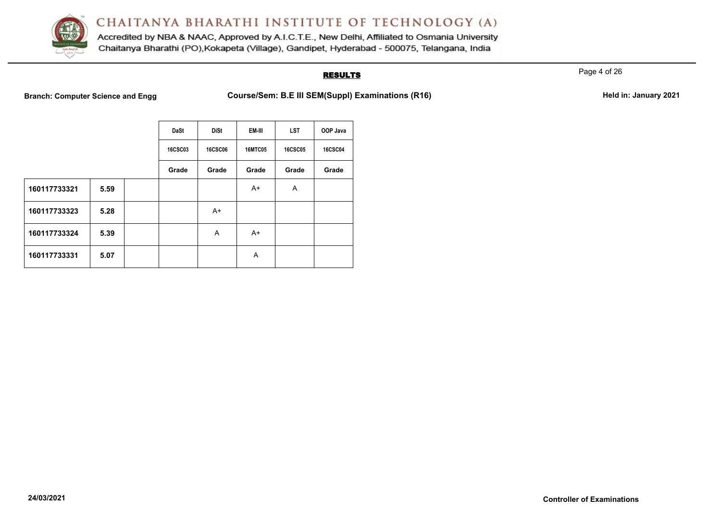

Accredited by NBA & NAAC, Approved by A.I.C.T.E., New Delhi, Affiliated to Osmania University Chaitanya Bharathi (PO), Kokapeta (Village), Gandipet, Hyderabad - 500075, Telangana, India

## **RESULTS**

Page 4 of 26

**Branch: Computer Science and Engg Course/Sem: B.E III SEM(Suppl) Examinations (R16)** Held in: January 2021

|              |      | <b>DaSt</b>    | <b>DiSt</b>    | EM-III         | <b>LST</b>     | OOP Java       |
|--------------|------|----------------|----------------|----------------|----------------|----------------|
|              |      | <b>16CSC03</b> | <b>16CSC06</b> | <b>16MTC05</b> | <b>16CSC05</b> | <b>16CSC04</b> |
|              |      | Grade          | Grade          | Grade          | Grade          | Grade          |
| 160117733321 | 5.59 |                |                | $A+$           | A              |                |
| 160117733323 | 5.28 |                | A+             |                |                |                |
| 160117733324 | 5.39 |                | A              | A+             |                |                |
| 160117733331 | 5.07 |                |                | A              |                |                |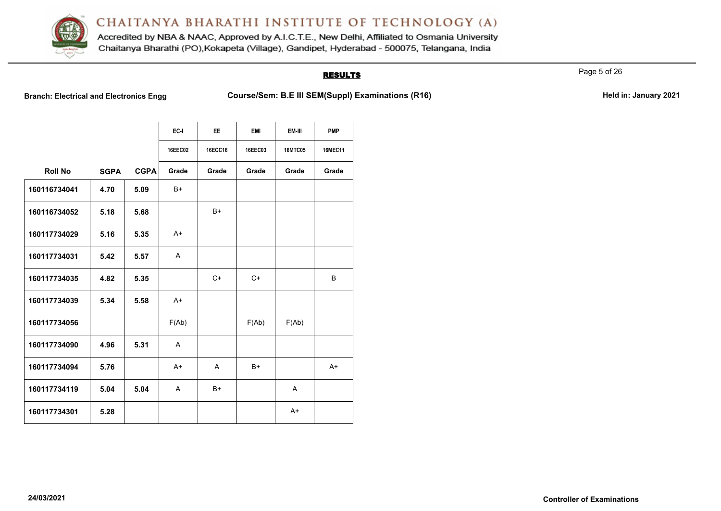

Accredited by NBA & NAAC, Approved by A.I.C.T.E., New Delhi, Affiliated to Osmania University Chaitanya Bharathi (PO), Kokapeta (Village), Gandipet, Hyderabad - 500075, Telangana, India

# **RESULTS**

Page 5 of 26

Branch: Electrical and Electronics Engg **Course/Sem: B.E III SEM(Suppl) Examinations (R16)** Held in: January 2021

|                |             |             | EC-I           | <b>EE</b> | <b>EMI</b> | EM-III         | <b>PMP</b>     |
|----------------|-------------|-------------|----------------|-----------|------------|----------------|----------------|
|                |             |             | <b>16EEC02</b> | 16ECC16   | 16EEC03    | <b>16MTC05</b> | <b>16MEC11</b> |
| <b>Roll No</b> | <b>SGPA</b> | <b>CGPA</b> | Grade          | Grade     | Grade      | Grade          | Grade          |
| 160116734041   | 4.70        | 5.09        | B+             |           |            |                |                |
| 160116734052   | 5.18        | 5.68        |                | B+        |            |                |                |
| 160117734029   | 5.16        | 5.35        | $A+$           |           |            |                |                |
| 160117734031   | 5.42        | 5.57        | A              |           |            |                |                |
| 160117734035   | 4.82        | 5.35        |                | $C+$      | $C+$       |                | B              |
| 160117734039   | 5.34        | 5.58        | $A+$           |           |            |                |                |
| 160117734056   |             |             | F(Ab)          |           | F(Ab)      | F(Ab)          |                |
| 160117734090   | 4.96        | 5.31        | A              |           |            |                |                |
| 160117734094   | 5.76        |             | $A+$           | A         | $B+$       |                | $A+$           |
| 160117734119   | 5.04        | 5.04        | A              | $B+$      |            | A              |                |
| 160117734301   | 5.28        |             |                |           |            | $A+$           |                |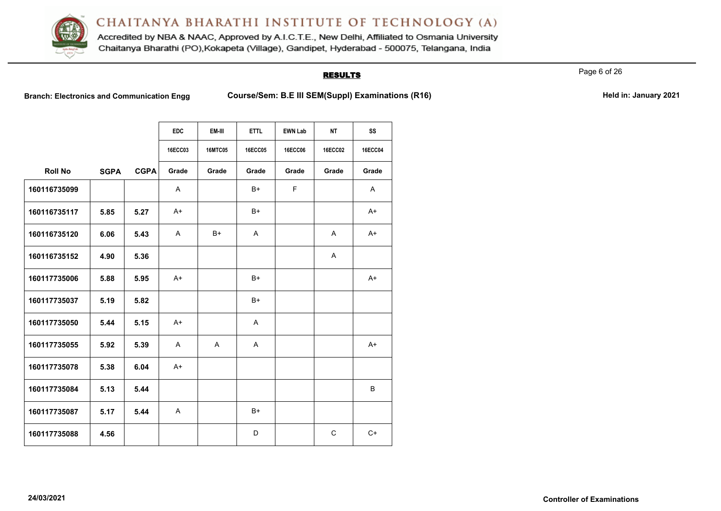

Accredited by NBA & NAAC, Approved by A.I.C.T.E., New Delhi, Affiliated to Osmania University Chaitanya Bharathi (PO), Kokapeta (Village), Gandipet, Hyderabad - 500075, Telangana, India

### **RESULTS**

Page 6 of 26

**Branch: Electronics and Communication Engg <b>Course/Sem: B.E III SEM(Suppl) Examinations (R16) Held in: January 2021** 

|  | Held in: January 2021 |  |
|--|-----------------------|--|
|  |                       |  |

|                |             |             | <b>EDC</b>     | EM-III         | <b>ETTL</b>    | <b>EWN Lab</b> | <b>NT</b>      | SS             |
|----------------|-------------|-------------|----------------|----------------|----------------|----------------|----------------|----------------|
|                |             |             | <b>16ECC03</b> | <b>16MTC05</b> | <b>16ECC05</b> | <b>16ECC06</b> | <b>16ECC02</b> | <b>16ECC04</b> |
| <b>Roll No</b> | <b>SGPA</b> | <b>CGPA</b> | Grade          | Grade          | Grade          | Grade          | Grade          | Grade          |
| 160116735099   |             |             | A              |                | B+             | F              |                | A              |
| 160116735117   | 5.85        | 5.27        | $A+$           |                | B+             |                |                | $A+$           |
| 160116735120   | 6.06        | 5.43        | $\mathsf{A}$   | B+             | A              |                | $\mathsf{A}$   | $A+$           |
| 160116735152   | 4.90        | 5.36        |                |                |                |                | $\mathsf{A}$   |                |
| 160117735006   | 5.88        | 5.95        | $A+$           |                | B+             |                |                | $A+$           |
| 160117735037   | 5.19        | 5.82        |                |                | $B+$           |                |                |                |
| 160117735050   | 5.44        | 5.15        | $A+$           |                | A              |                |                |                |
| 160117735055   | 5.92        | 5.39        | $\mathsf{A}$   | A              | $\mathsf{A}$   |                |                | $A+$           |
| 160117735078   | 5.38        | 6.04        | $A+$           |                |                |                |                |                |
| 160117735084   | 5.13        | 5.44        |                |                |                |                |                | B              |
| 160117735087   | 5.17        | 5.44        | A              |                | $B+$           |                |                |                |
| 160117735088   | 4.56        |             |                |                | D              |                | $\mathsf{C}$   | $C+$           |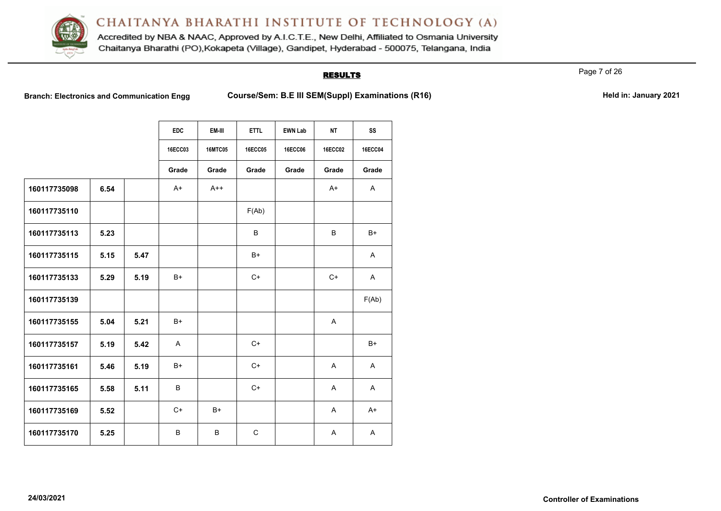

Accredited by NBA & NAAC, Approved by A.I.C.T.E., New Delhi, Affiliated to Osmania University Chaitanya Bharathi (PO), Kokapeta (Village), Gandipet, Hyderabad - 500075, Telangana, India

### **RESULTS**

Page 7 of 26

**Branch: Electronics and Communication Engg <b>Course/Sem: B.E III SEM(Suppl) Examinations (R16) Held in: January 2021** 

|  | Held in: January 2021 |  |
|--|-----------------------|--|
|  |                       |  |

|              |      |      | <b>EDC</b>     | EM-III         | <b>ETTL</b>    | <b>EWN Lab</b> | <b>NT</b>      | SS             |
|--------------|------|------|----------------|----------------|----------------|----------------|----------------|----------------|
|              |      |      | <b>16ECC03</b> | <b>16MTC05</b> | <b>16ECC05</b> | <b>16ECC06</b> | <b>16ECC02</b> | <b>16ECC04</b> |
|              |      |      | Grade          | Grade          | Grade          | Grade          | Grade          | Grade          |
| 160117735098 | 6.54 |      | $A+$           | $A++$          |                |                | $A+$           | A              |
| 160117735110 |      |      |                |                | F(Ab)          |                |                |                |
| 160117735113 | 5.23 |      |                |                | B              |                | B              | $B+$           |
| 160117735115 | 5.15 | 5.47 |                |                | $B+$           |                |                | A              |
| 160117735133 | 5.29 | 5.19 | B+             |                | $C+$           |                | $C+$           | A              |
| 160117735139 |      |      |                |                |                |                |                | F(Ab)          |
| 160117735155 | 5.04 | 5.21 | $B+$           |                |                |                | A              |                |
| 160117735157 | 5.19 | 5.42 | $\mathsf{A}$   |                | $C+$           |                |                | $B+$           |
| 160117735161 | 5.46 | 5.19 | B+             |                | $C+$           |                | A              | $\mathsf{A}$   |
| 160117735165 | 5.58 | 5.11 | B              |                | $C+$           |                | $\mathsf{A}$   | $\mathsf{A}$   |
| 160117735169 | 5.52 |      | $C+$           | $B+$           |                |                | A              | $A+$           |
| 160117735170 | 5.25 |      | B              | B              | $\mathsf{C}$   |                | A              | A              |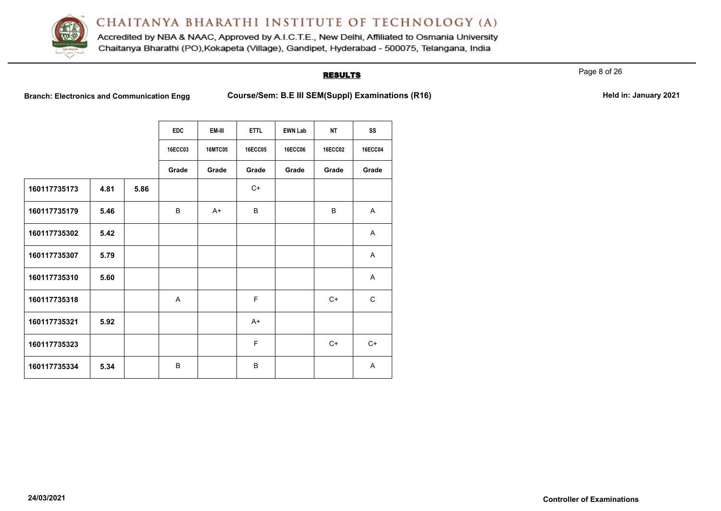

Accredited by NBA & NAAC, Approved by A.I.C.T.E., New Delhi, Affiliated to Osmania University Chaitanya Bharathi (PO), Kokapeta (Village), Gandipet, Hyderabad - 500075, Telangana, India

### **RESULTS**

Page 8 of 26

**Branch: Electronics and Communication Engg <b>Course/Sem: B.E III SEM(Suppl) Examinations (R16) Held in: January 2021** 

|  | Held in: January 2021 |  |
|--|-----------------------|--|
|  |                       |  |

|              |      |      | <b>EDC</b>     | EM-III         | <b>ETTL</b>    | <b>EWN Lab</b> | <b>NT</b>      | SS             |
|--------------|------|------|----------------|----------------|----------------|----------------|----------------|----------------|
|              |      |      | <b>16ECC03</b> | <b>16MTC05</b> | <b>16ECC05</b> | <b>16ECC06</b> | <b>16ECC02</b> | <b>16ECC04</b> |
|              |      |      | Grade          | Grade          | Grade          | Grade          | Grade          | Grade          |
| 160117735173 | 4.81 | 5.86 |                |                | $C+$           |                |                |                |
| 160117735179 | 5.46 |      | B              | $A+$           | B              |                | B              | A              |
| 160117735302 | 5.42 |      |                |                |                |                |                | $\overline{A}$ |
| 160117735307 | 5.79 |      |                |                |                |                |                | A              |
| 160117735310 | 5.60 |      |                |                |                |                |                | A              |
| 160117735318 |      |      | A              |                | F              |                | $C+$           | $\mathbf C$    |
| 160117735321 | 5.92 |      |                |                | $A+$           |                |                |                |
| 160117735323 |      |      |                |                | F              |                | $C+$           | $C+$           |
| 160117735334 | 5.34 |      | B              |                | B              |                |                | A              |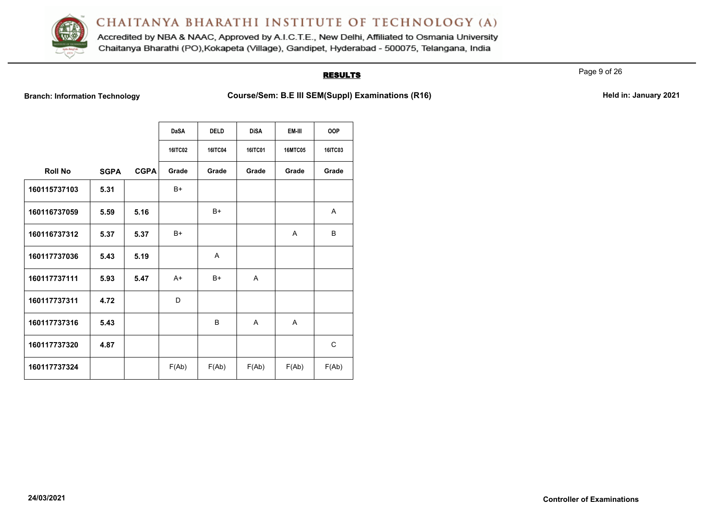

Accredited by NBA & NAAC, Approved by A.I.C.T.E., New Delhi, Affiliated to Osmania University Chaitanya Bharathi (PO), Kokapeta (Village), Gandipet, Hyderabad - 500075, Telangana, India

# **RESULTS**

Page 9 of 26

Branch: Information Technology **Course/Sem: B.E III SEM(Suppl) Examinations (R16)** Held in: January 2021

|                |             |             | <b>DaSA</b>    | <b>DELD</b>    | <b>DiSA</b>    | EM-III         | <b>OOP</b>     |
|----------------|-------------|-------------|----------------|----------------|----------------|----------------|----------------|
|                |             |             | <b>16ITC02</b> | <b>16ITC04</b> | <b>16ITC01</b> | <b>16MTC05</b> | <b>16ITC03</b> |
| <b>Roll No</b> | <b>SGPA</b> | <b>CGPA</b> | Grade          | Grade          | Grade          | Grade          | Grade          |
| 160115737103   | 5.31        |             | $B+$           |                |                |                |                |
| 160116737059   | 5.59        | 5.16        |                | $B+$           |                |                | A              |
| 160116737312   | 5.37        | 5.37        | $B+$           |                |                | A              | B              |
| 160117737036   | 5.43        | 5.19        |                | A              |                |                |                |
| 160117737111   | 5.93        | 5.47        | $A+$           | $B+$           | A              |                |                |
| 160117737311   | 4.72        |             | D              |                |                |                |                |
| 160117737316   | 5.43        |             |                | B              | A              | A              |                |
| 160117737320   | 4.87        |             |                |                |                |                | C              |
| 160117737324   |             |             | F(Ab)          | F(Ab)          | F(Ab)          | F(Ab)          | F(Ab)          |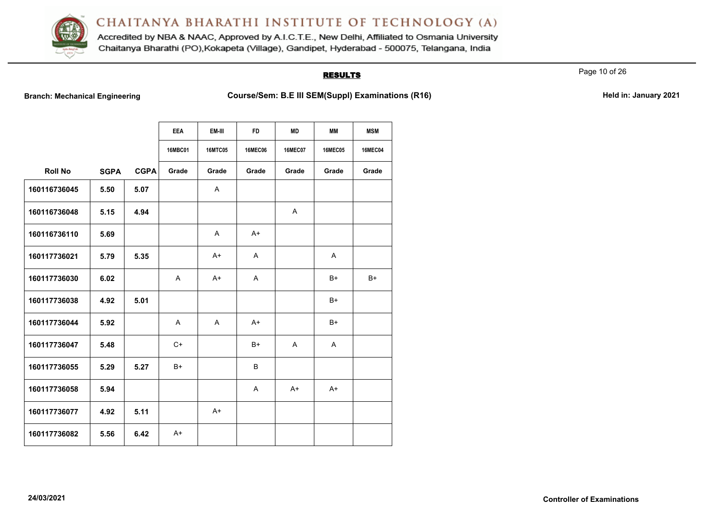

Accredited by NBA & NAAC, Approved by A.I.C.T.E., New Delhi, Affiliated to Osmania University Chaitanya Bharathi (PO), Kokapeta (Village), Gandipet, Hyderabad - 500075, Telangana, India

### **RESULTS**

Page 10 of 26

Branch: Mechanical Engineering **Course/Sem: B.E III SEM(Suppl) Examinations (R16)** Held in: January 2021

|                |             |             | <b>EEA</b><br><b>16MBC01</b> | EM-III<br><b>16MTC05</b> | <b>FD</b><br><b>16MEC06</b> | <b>MD</b><br><b>16MEC07</b> | <b>MM</b><br><b>16MEC05</b> | <b>MSM</b><br><b>16MEC04</b> |
|----------------|-------------|-------------|------------------------------|--------------------------|-----------------------------|-----------------------------|-----------------------------|------------------------------|
| <b>Roll No</b> | <b>SGPA</b> | <b>CGPA</b> | Grade                        | Grade                    | Grade                       | Grade                       | Grade                       | Grade                        |
| 160116736045   | 5.50        | 5.07        |                              | A                        |                             |                             |                             |                              |
| 160116736048   | 5.15        | 4.94        |                              |                          |                             | A                           |                             |                              |
| 160116736110   | 5.69        |             |                              | $\overline{A}$           | $A+$                        |                             |                             |                              |
| 160117736021   | 5.79        | 5.35        |                              | $A+$                     | $\mathsf{A}$                |                             | A                           |                              |
| 160117736030   | 6.02        |             | A                            | $A+$                     | A                           |                             | $B+$                        | $B+$                         |
| 160117736038   | 4.92        | 5.01        |                              |                          |                             |                             | $B+$                        |                              |
| 160117736044   | 5.92        |             | A                            | Α                        | $A+$                        |                             | $B+$                        |                              |
| 160117736047   | 5.48        |             | $C+$                         |                          | B+                          | $\mathsf{A}$                | $\mathsf{A}$                |                              |
| 160117736055   | 5.29        | 5.27        | $B+$                         |                          | B                           |                             |                             |                              |
| 160117736058   | 5.94        |             |                              |                          | $\mathsf{A}$                | $A+$                        | $A+$                        |                              |
| 160117736077   | 4.92        | 5.11        |                              | $A+$                     |                             |                             |                             |                              |
| 160117736082   | 5.56        | 6.42        | $A+$                         |                          |                             |                             |                             |                              |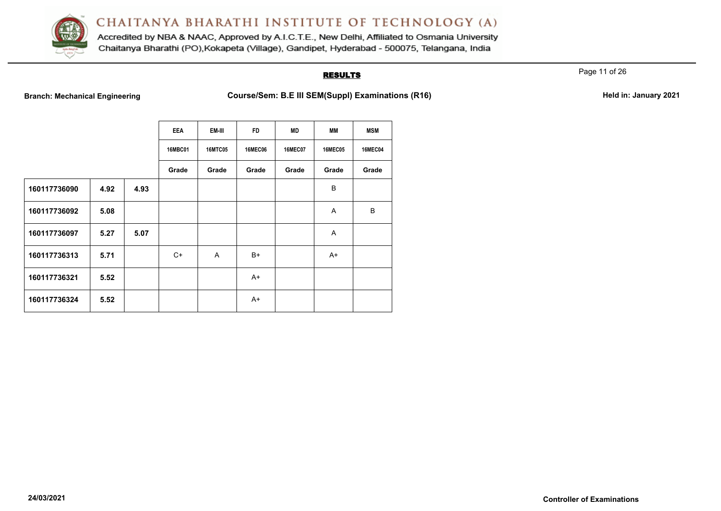

Accredited by NBA & NAAC, Approved by A.I.C.T.E., New Delhi, Affiliated to Osmania University Chaitanya Bharathi (PO), Kokapeta (Village), Gandipet, Hyderabad - 500075, Telangana, India

### **RESULTS**

Page 11 of 26

**Branch: Mechanical Engineering <b>Course/Sem: B.E III SEM(Suppl) Examinations (R16) Held in: January 2021** 

|  | Held in: January 2021 |  |
|--|-----------------------|--|
|  |                       |  |

|              |      |      | <b>EEA</b>     | EM-III         | <b>FD</b>      | <b>MD</b>      | <b>MM</b>      | <b>MSM</b>     |
|--------------|------|------|----------------|----------------|----------------|----------------|----------------|----------------|
|              |      |      | <b>16MBC01</b> | <b>16MTC05</b> | <b>16MEC06</b> | <b>16MEC07</b> | <b>16MEC05</b> | <b>16MEC04</b> |
|              |      |      | Grade          | Grade          | Grade          | Grade          | Grade          | Grade          |
| 160117736090 | 4.92 | 4.93 |                |                |                |                | B              |                |
| 160117736092 | 5.08 |      |                |                |                |                | A              | B              |
| 160117736097 | 5.27 | 5.07 |                |                |                |                | Α              |                |
| 160117736313 | 5.71 |      | $C+$           | $\overline{A}$ | B+             |                | $A+$           |                |
| 160117736321 | 5.52 |      |                |                | $A+$           |                |                |                |
| 160117736324 | 5.52 |      |                |                | $A+$           |                |                |                |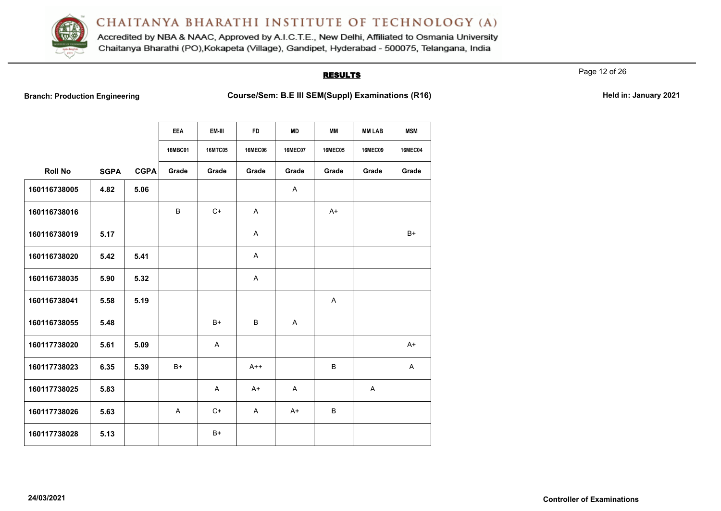

Accredited by NBA & NAAC, Approved by A.I.C.T.E., New Delhi, Affiliated to Osmania University Chaitanya Bharathi (PO), Kokapeta (Village), Gandipet, Hyderabad - 500075, Telangana, India

## **RESULTS**

Page 12 of 26

Branch: Production Engineering **Course/Sem: B.E III SEM(Suppl) Examinations (R16)** Held in: January 2021

|                |             |             | <b>EEA</b>     | EM-III         | <b>FD</b>      | <b>MD</b>      | MМ             | <b>MM LAB</b>  | <b>MSM</b>     |
|----------------|-------------|-------------|----------------|----------------|----------------|----------------|----------------|----------------|----------------|
|                |             |             | <b>16MBC01</b> | <b>16MTC05</b> | <b>16MEC06</b> | <b>16MEC07</b> | <b>16MEC05</b> | <b>16MEC09</b> | <b>16MEC04</b> |
| <b>Roll No</b> | <b>SGPA</b> | <b>CGPA</b> | Grade          | Grade          | Grade          | Grade          | Grade          | Grade          | Grade          |
| 160116738005   | 4.82        | 5.06        |                |                |                | Α              |                |                |                |
| 160116738016   |             |             | B              | $C+$           | A              |                | $A+$           |                |                |
| 160116738019   | 5.17        |             |                |                | A              |                |                |                | $B+$           |
| 160116738020   | 5.42        | 5.41        |                |                | A              |                |                |                |                |
| 160116738035   | 5.90        | 5.32        |                |                | A              |                |                |                |                |
| 160116738041   | 5.58        | 5.19        |                |                |                |                | A              |                |                |
| 160116738055   | 5.48        |             |                | $B+$           | B              | Α              |                |                |                |
| 160117738020   | 5.61        | 5.09        |                | A              |                |                |                |                | $A+$           |
| 160117738023   | 6.35        | 5.39        | $B+$           |                | $A++$          |                | B              |                | A              |
| 160117738025   | 5.83        |             |                | $\mathsf{A}$   | $A+$           | Α              |                | Α              |                |
| 160117738026   | 5.63        |             | $\mathsf{A}$   | $C+$           | $\mathsf{A}$   | $A+$           | B              |                |                |
| 160117738028   | 5.13        |             |                | $B+$           |                |                |                |                |                |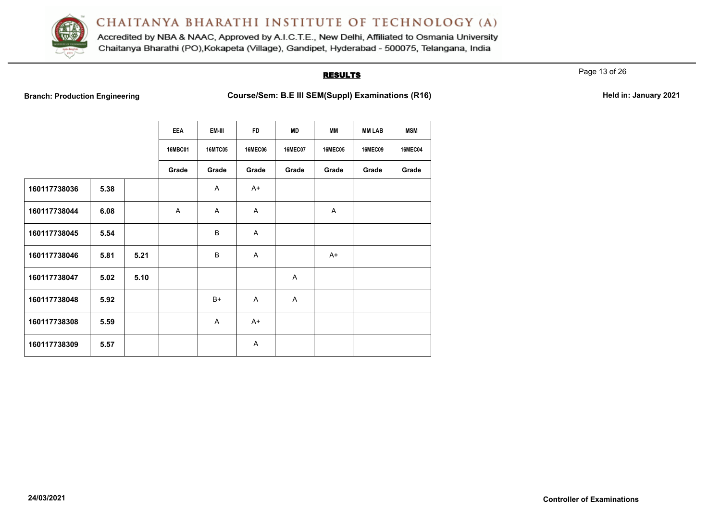

Accredited by NBA & NAAC, Approved by A.I.C.T.E., New Delhi, Affiliated to Osmania University Chaitanya Bharathi (PO), Kokapeta (Village), Gandipet, Hyderabad - 500075, Telangana, India

### **RESULTS**

Page 13 of 26

**Branch: Production Engineering <b>Course/Sem: B.E III SEM(Suppl) Examinations (R16) Held in: January 2021** 

|  | Held in: January 2021 |  |
|--|-----------------------|--|
|  |                       |  |

|              |      |      | <b>EEA</b>     | EM-III         | <b>FD</b>      | <b>MD</b>      | MМ             | <b>MM LAB</b>  | <b>MSM</b>     |
|--------------|------|------|----------------|----------------|----------------|----------------|----------------|----------------|----------------|
|              |      |      | <b>16MBC01</b> | <b>16MTC05</b> | <b>16MEC06</b> | <b>16MEC07</b> | <b>16MEC05</b> | <b>16MEC09</b> | <b>16MEC04</b> |
|              |      |      | Grade          | Grade          | Grade          | Grade          | Grade          | Grade          | Grade          |
| 160117738036 | 5.38 |      |                | $\overline{A}$ | $A+$           |                |                |                |                |
| 160117738044 | 6.08 |      | A              | A              | A              |                | A              |                |                |
| 160117738045 | 5.54 |      |                | B              | $\mathsf{A}$   |                |                |                |                |
| 160117738046 | 5.81 | 5.21 |                | B              | $\mathsf{A}$   |                | $A+$           |                |                |
| 160117738047 | 5.02 | 5.10 |                |                |                | Α              |                |                |                |
| 160117738048 | 5.92 |      |                | B+             | $\mathsf{A}$   | A              |                |                |                |
| 160117738308 | 5.59 |      |                | A              | $A+$           |                |                |                |                |
| 160117738309 | 5.57 |      |                |                | $\overline{A}$ |                |                |                |                |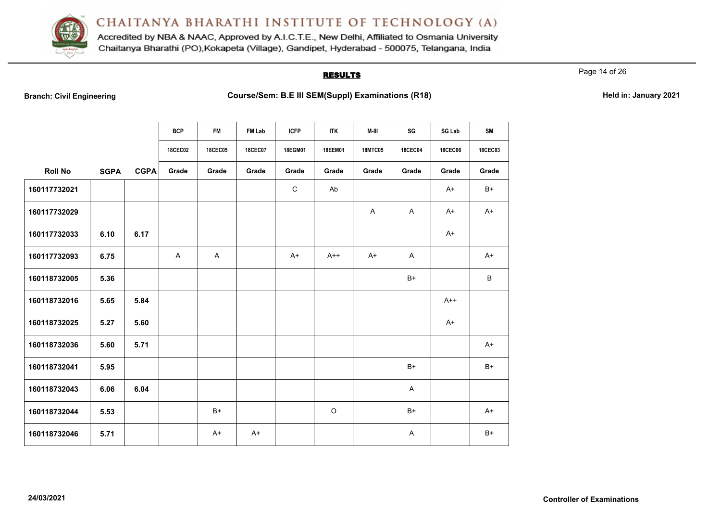

Accredited by NBA & NAAC, Approved by A.I.C.T.E., New Delhi, Affiliated to Osmania University Chaitanya Bharathi (PO), Kokapeta (Village), Gandipet, Hyderabad - 500075, Telangana, India

### **RESULTS**

Page 14 of 26

**Branch: Course/Sem: B.E III SEM(Suppl) Examinations (R18) Held in: January 2021** 

|                |             |             | <b>BCP</b>     | FM             | FM Lab         | <b>ICFP</b> | <b>ITK</b>     | M-III          | SG             | SG Lab         | SM             |
|----------------|-------------|-------------|----------------|----------------|----------------|-------------|----------------|----------------|----------------|----------------|----------------|
|                |             |             | <b>18CEC02</b> | <b>18CEC05</b> | <b>18CEC07</b> | 18EGM01     | <b>18EEM01</b> | <b>18MTC05</b> | <b>18CEC04</b> | <b>18CEC06</b> | <b>18CEC03</b> |
| <b>Roll No</b> | <b>SGPA</b> | <b>CGPA</b> | Grade          | Grade          | Grade          | Grade       | Grade          | Grade          | Grade          | Grade          | Grade          |
| 160117732021   |             |             |                |                |                | $\mathsf C$ | Ab             |                |                | $A+$           | B+             |
| 160117732029   |             |             |                |                |                |             |                | $\mathsf{A}$   | $\mathsf{A}$   | $A+$           | A+             |
| 160117732033   | 6.10        | 6.17        |                |                |                |             |                |                |                | $A+$           |                |
| 160117732093   | 6.75        |             | A              | $\mathsf{A}$   |                | $A+$        | $A++$          | $A+$           | A              |                | $A+$           |
| 160118732005   | 5.36        |             |                |                |                |             |                |                | $B+$           |                | B              |
| 160118732016   | 5.65        | 5.84        |                |                |                |             |                |                |                | $A++$          |                |
| 160118732025   | 5.27        | 5.60        |                |                |                |             |                |                |                | $A+$           |                |
| 160118732036   | 5.60        | 5.71        |                |                |                |             |                |                |                |                | $A+$           |
| 160118732041   | 5.95        |             |                |                |                |             |                |                | $B+$           |                | $B+$           |
| 160118732043   | 6.06        | 6.04        |                |                |                |             |                |                | A              |                |                |
| 160118732044   | 5.53        |             |                | $B+$           |                |             | $\circ$        |                | $B+$           |                | $A+$           |
| 160118732046   | 5.71        |             |                | $A+$           | $A+$           |             |                |                | A              |                | $B+$           |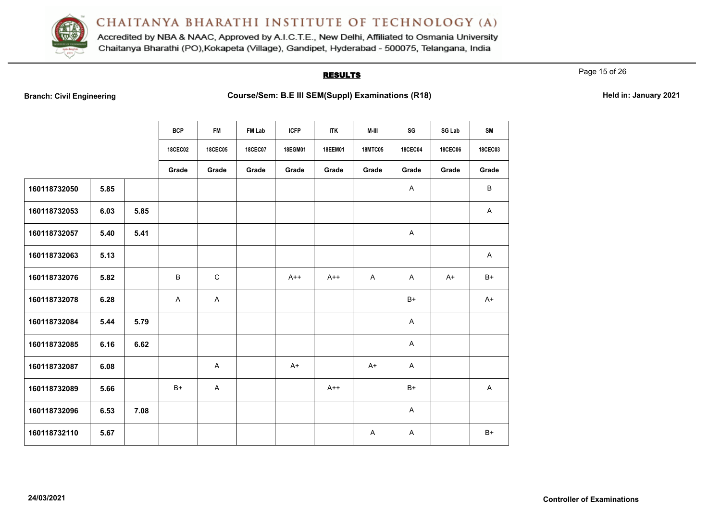

Accredited by NBA & NAAC, Approved by A.I.C.T.E., New Delhi, Affiliated to Osmania University Chaitanya Bharathi (PO), Kokapeta (Village), Gandipet, Hyderabad - 500075, Telangana, India

### **RESULTS**

Page 15 of 26

Branch: Civil Engineering **Course/Sem: B.E III SEM(Suppl) Examinations (R18) Held in: January 2021** 

|              |      |      | <b>BCP</b>     | <b>FM</b>      | FM Lab         | <b>ICFP</b> | <b>ITK</b>     | M-III          | SG             | SG Lab         | <b>SM</b>      |
|--------------|------|------|----------------|----------------|----------------|-------------|----------------|----------------|----------------|----------------|----------------|
|              |      |      | <b>18CEC02</b> | <b>18CEC05</b> | <b>18CEC07</b> | 18EGM01     | <b>18EEM01</b> | <b>18MTC05</b> | <b>18CEC04</b> | <b>18CEC06</b> | <b>18CEC03</b> |
|              |      |      | Grade          | Grade          | Grade          | Grade       | Grade          | Grade          | Grade          | Grade          | Grade          |
| 160118732050 | 5.85 |      |                |                |                |             |                |                | A              |                | B              |
| 160118732053 | 6.03 | 5.85 |                |                |                |             |                |                |                |                | $\mathsf{A}$   |
| 160118732057 | 5.40 | 5.41 |                |                |                |             |                |                | Α              |                |                |
| 160118732063 | 5.13 |      |                |                |                |             |                |                |                |                | A              |
| 160118732076 | 5.82 |      | B              | $\mathbf C$    |                | $A++$       | $A++$          | $\mathsf{A}$   | A              | $A+$           | $B+$           |
| 160118732078 | 6.28 |      | A              | $\mathsf{A}$   |                |             |                |                | $B+$           |                | $A+$           |
| 160118732084 | 5.44 | 5.79 |                |                |                |             |                |                | A              |                |                |
| 160118732085 | 6.16 | 6.62 |                |                |                |             |                |                | A              |                |                |
| 160118732087 | 6.08 |      |                | A              |                | $A+$        |                | $A+$           | A              |                |                |
| 160118732089 | 5.66 |      | $B+$           | A              |                |             | $A++$          |                | $B+$           |                | A              |
| 160118732096 | 6.53 | 7.08 |                |                |                |             |                |                | A              |                |                |
| 160118732110 | 5.67 |      |                |                |                |             |                | A              | A              |                | $B+$           |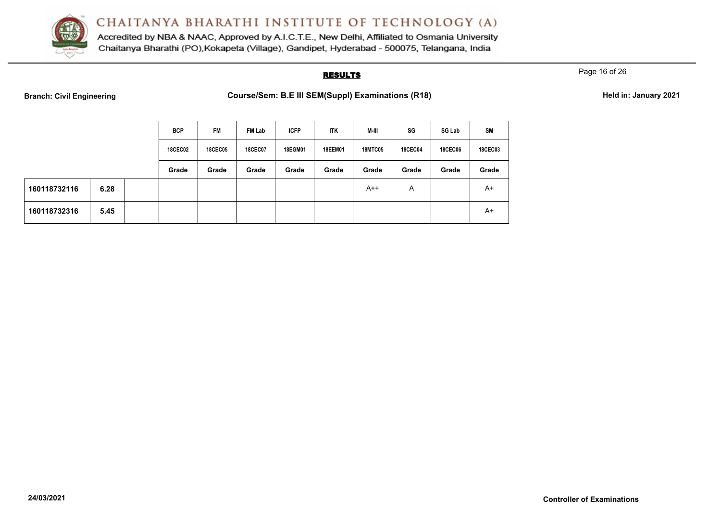

Accredited by NBA & NAAC, Approved by A.I.C.T.E., New Delhi, Affiliated to Osmania University Chaitanya Bharathi (PO), Kokapeta (Village), Gandipet, Hyderabad - 500075, Telangana, India

### **RESULTS**

Page 16 of 26

Branch: Civil Engineering **Course/Sem: B.E III SEM(Suppl) Examinations (R18) Held in: January 2021** 

|              |      | <b>BCP</b>     | <b>FM</b>      | FM Lab         | <b>ICFP</b>    | ITK     | M-III          | SG             | SG Lab         | <b>SM</b>      |
|--------------|------|----------------|----------------|----------------|----------------|---------|----------------|----------------|----------------|----------------|
|              |      | <b>18CEC02</b> | <b>18CEC05</b> | <b>18CEC07</b> | <b>18EGM01</b> | 18EEM01 | <b>18MTC05</b> | <b>18CEC04</b> | <b>18CEC06</b> | <b>18CEC03</b> |
|              |      | Grade          | Grade          | Grade          | Grade          | Grade   | Grade          | Grade          | Grade          | Grade          |
| 160118732116 | 6.28 |                |                |                |                |         | $A++$          | Α              |                | $A+$           |
| 160118732316 | 5.45 |                |                |                |                |         |                |                |                | $A+$           |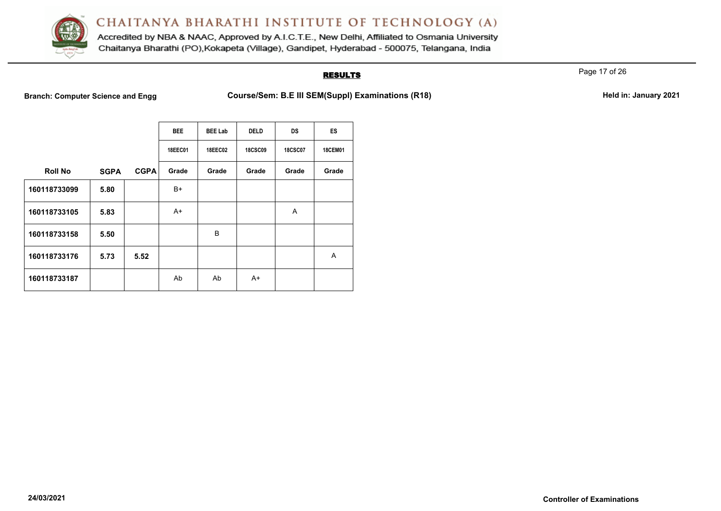

Accredited by NBA & NAAC, Approved by A.I.C.T.E., New Delhi, Affiliated to Osmania University Chaitanya Bharathi (PO), Kokapeta (Village), Gandipet, Hyderabad - 500075, Telangana, India

### **RESULTS**

Page 17 of 26

**Branch: Computer Science and Engg Course/Sem: B.E III SEM(Suppl) Examinations (R18) Held in: January 2021** 

|                |             |             | <b>BEE</b>     | <b>BEE Lab</b> | <b>DELD</b>    | <b>DS</b>      | ES             |
|----------------|-------------|-------------|----------------|----------------|----------------|----------------|----------------|
|                |             |             | <b>18EEC01</b> | <b>18EEC02</b> | <b>18CSC09</b> | <b>18CSC07</b> | <b>18CEM01</b> |
| <b>Roll No</b> | <b>SGPA</b> | <b>CGPA</b> | Grade          | Grade          | Grade          | Grade          | Grade          |
| 160118733099   | 5.80        |             | B+             |                |                |                |                |
| 160118733105   | 5.83        |             | A+             |                |                | A              |                |
| 160118733158   | 5.50        |             |                | B              |                |                |                |
| 160118733176   | 5.73        | 5.52        |                |                |                |                | A              |
| 160118733187   |             |             | Ab             | Ab             | $A+$           |                |                |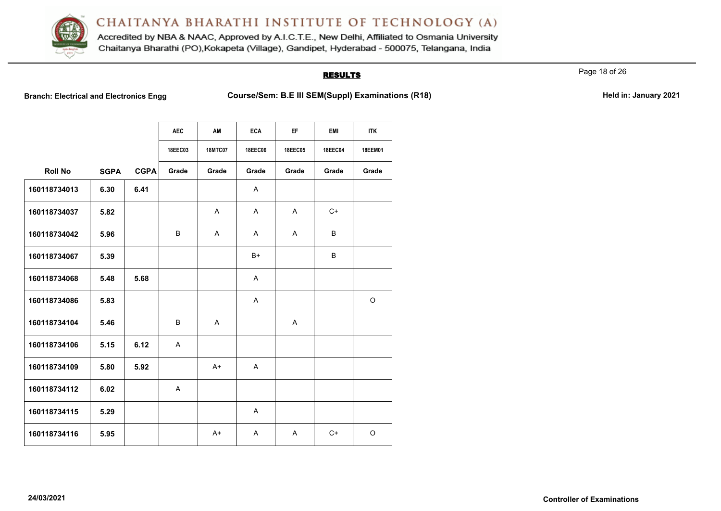

Accredited by NBA & NAAC, Approved by A.I.C.T.E., New Delhi, Affiliated to Osmania University Chaitanya Bharathi (PO), Kokapeta (Village), Gandipet, Hyderabad - 500075, Telangana, India

### **RESULTS**

Page 18 of 26

Branch: Electrical and Electronics Engg **Course/Sem: B.E III SEM(Suppl) Examinations (R18) Held in: January 2021** 

|                |             |             | <b>AEC</b>     | AM             | <b>ECA</b>     | EF.          | <b>EMI</b>     | <b>ITK</b>     |
|----------------|-------------|-------------|----------------|----------------|----------------|--------------|----------------|----------------|
|                |             |             |                |                |                |              |                |                |
|                |             |             | <b>18EEC03</b> | <b>18MTC07</b> | <b>18EEC06</b> | 18EEC05      | <b>18EEC04</b> | <b>18EEM01</b> |
| <b>Roll No</b> | <b>SGPA</b> | <b>CGPA</b> | Grade          | Grade          | Grade          | Grade        | Grade          | Grade          |
| 160118734013   | 6.30        | 6.41        |                |                | A              |              |                |                |
| 160118734037   | 5.82        |             |                | $\mathsf{A}$   | A              | $\mathsf{A}$ | $C+$           |                |
| 160118734042   | 5.96        |             | B              | $\mathsf{A}$   | A              | A            | B              |                |
| 160118734067   | 5.39        |             |                |                | $B+$           |              | B              |                |
| 160118734068   | 5.48        | 5.68        |                |                | A              |              |                |                |
| 160118734086   | 5.83        |             |                |                | A              |              |                | $\circ$        |
| 160118734104   | 5.46        |             | B              | $\mathsf{A}$   |                | $\mathsf{A}$ |                |                |
| 160118734106   | 5.15        | 6.12        | $\mathsf{A}$   |                |                |              |                |                |
| 160118734109   | 5.80        | 5.92        |                | $A+$           | $\overline{A}$ |              |                |                |
| 160118734112   | 6.02        |             | A              |                |                |              |                |                |
| 160118734115   | 5.29        |             |                |                | A              |              |                |                |
| 160118734116   | 5.95        |             |                | $A+$           | A              | A            | C+             | O              |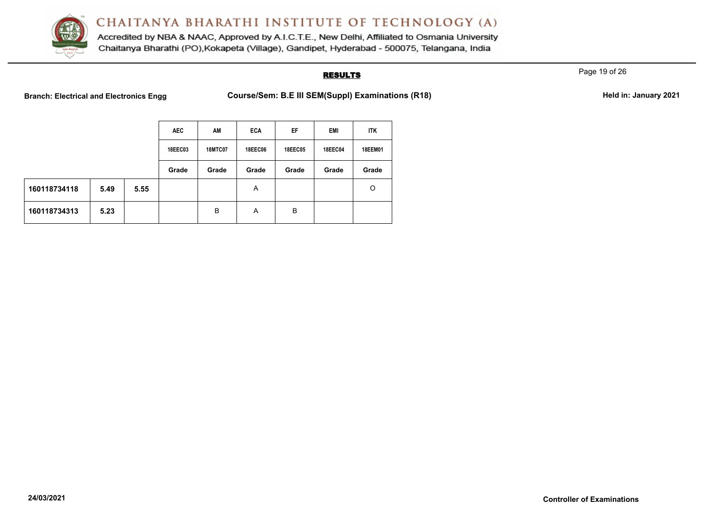

Accredited by NBA & NAAC, Approved by A.I.C.T.E., New Delhi, Affiliated to Osmania University Chaitanya Bharathi (PO), Kokapeta (Village), Gandipet, Hyderabad - 500075, Telangana, India

### **RESULTS**

Page 19 of 26

Branch: Electrical and Electronics Engg **Course/Sem: B.E III SEM(Suppl) Examinations (R18) Held in: January 2021** 

|              |      |      | <b>AEC</b>     | AM             | <b>ECA</b>     | EF             | EMI            | <b>ITK</b> |
|--------------|------|------|----------------|----------------|----------------|----------------|----------------|------------|
|              |      |      | <b>18EEC03</b> | <b>18MTC07</b> | <b>18EEC06</b> | <b>18EEC05</b> | <b>18EEC04</b> | 18EEM01    |
|              |      |      | Grade          | Grade          | Grade          | Grade          | Grade          | Grade      |
| 160118734118 | 5.49 | 5.55 |                |                | A              |                |                | O          |
| 160118734313 | 5.23 |      |                | B              | A              | B              |                |            |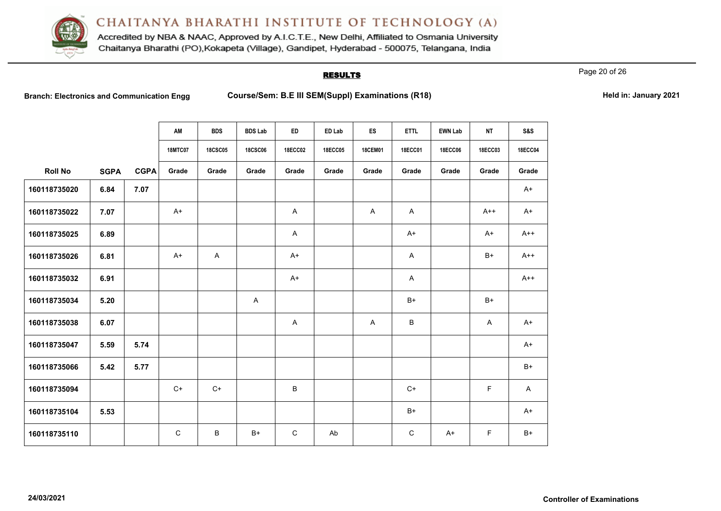

Accredited by NBA & NAAC, Approved by A.I.C.T.E., New Delhi, Affiliated to Osmania University Chaitanya Bharathi (PO), Kokapeta (Village), Gandipet, Hyderabad - 500075, Telangana, India

### **RESULTS**

Page 20 of 26

**Branch: Electronics and Communication Engg <b>Course/Sem: B.E III SEM(Suppl) Examinations (R18) Held in: January 2021** 

| Held in: January 2021 |  |  |
|-----------------------|--|--|
|-----------------------|--|--|

|                |             |             | AM             | <b>BDS</b>     | <b>BDS Lab</b> | <b>ED</b>      | ED Lab         | ES             | <b>ETTL</b>    | <b>EWN Lab</b> | <b>NT</b>      | <b>S&amp;S</b> |
|----------------|-------------|-------------|----------------|----------------|----------------|----------------|----------------|----------------|----------------|----------------|----------------|----------------|
|                |             |             | <b>18MTC07</b> | <b>18CSC05</b> | <b>18CSC06</b> | <b>18ECC02</b> | <b>18ECC05</b> | <b>18CEM01</b> | <b>18ECC01</b> | <b>18ECC06</b> | <b>18ECC03</b> | <b>18ECC04</b> |
| <b>Roll No</b> | <b>SGPA</b> | <b>CGPA</b> | Grade          | Grade          | Grade          | Grade          | Grade          | Grade          | Grade          | Grade          | Grade          | Grade          |
| 160118735020   | 6.84        | 7.07        |                |                |                |                |                |                |                |                |                | $A+$           |
| 160118735022   | 7.07        |             | $A+$           |                |                | $\mathsf{A}$   |                | A              | $\mathsf{A}$   |                | $A++$          | $A+$           |
| 160118735025   | 6.89        |             |                |                |                | A              |                |                | $A+$           |                | $A+$           | $A++$          |
| 160118735026   | 6.81        |             | A+             | A              |                | $A+$           |                |                | $\mathsf{A}$   |                | $B+$           | $A++$          |
| 160118735032   | 6.91        |             |                |                |                | $A+$           |                |                | $\mathsf{A}$   |                |                | $A++$          |
| 160118735034   | 5.20        |             |                |                | $\mathsf{A}$   |                |                |                | B+             |                | $B+$           |                |
| 160118735038   | 6.07        |             |                |                |                | A              |                | $\mathsf{A}$   | B              |                | A              | A+             |
| 160118735047   | 5.59        | 5.74        |                |                |                |                |                |                |                |                |                | $A+$           |
| 160118735066   | 5.42        | 5.77        |                |                |                |                |                |                |                |                |                | $B+$           |
| 160118735094   |             |             | $C+$           | $C+$           |                | B              |                |                | $C+$           |                | F              | A              |
| 160118735104   | 5.53        |             |                |                |                |                |                |                | $B+$           |                |                | A+             |
| 160118735110   |             |             | $\mathsf{C}$   | B              | $B+$           | $\mathsf{C}$   | Ab             |                | $\mathsf{C}$   | $A+$           | F.             | $B+$           |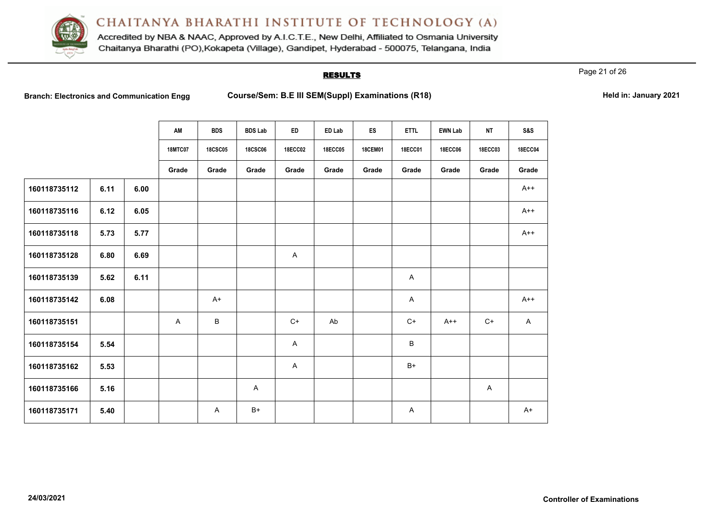

Accredited by NBA & NAAC, Approved by A.I.C.T.E., New Delhi, Affiliated to Osmania University Chaitanya Bharathi (PO), Kokapeta (Village), Gandipet, Hyderabad - 500075, Telangana, India

### **RESULTS**

Page 21 of 26

Branch: Electronics and Communication Engg Course/Sem: B.E III SEM(Suppl) Examinations (R18) **Held in: January 2021** 

|              |      |      | AM             | <b>BDS</b>     | <b>BDS Lab</b> | ED             | ED Lab         | ES             | <b>ETTL</b>    | <b>EWN Lab</b> | <b>NT</b>      | <b>S&amp;S</b> |
|--------------|------|------|----------------|----------------|----------------|----------------|----------------|----------------|----------------|----------------|----------------|----------------|
|              |      |      | <b>18MTC07</b> | <b>18CSC05</b> | <b>18CSC06</b> | <b>18ECC02</b> | <b>18ECC05</b> | <b>18CEM01</b> | <b>18ECC01</b> | <b>18ECC06</b> | <b>18ECC03</b> | <b>18ECC04</b> |
|              |      |      | Grade          | Grade          | Grade          | Grade          | Grade          | Grade          | Grade          | Grade          | Grade          | Grade          |
| 160118735112 | 6.11 | 6.00 |                |                |                |                |                |                |                |                |                | $A++$          |
| 160118735116 | 6.12 | 6.05 |                |                |                |                |                |                |                |                |                | $A++$          |
| 160118735118 | 5.73 | 5.77 |                |                |                |                |                |                |                |                |                | $A++$          |
| 160118735128 | 6.80 | 6.69 |                |                |                | $\mathsf{A}$   |                |                |                |                |                |                |
| 160118735139 | 5.62 | 6.11 |                |                |                |                |                |                | A              |                |                |                |
| 160118735142 | 6.08 |      |                | $A+$           |                |                |                |                | A              |                |                | $A++$          |
| 160118735151 |      |      | $\mathsf{A}$   | B              |                | $C+$           | Ab             |                | $C+$           | $A++$          | $C+$           | $\mathsf{A}$   |
| 160118735154 | 5.54 |      |                |                |                | $\mathsf{A}$   |                |                | B              |                |                |                |
| 160118735162 | 5.53 |      |                |                |                | A              |                |                | $B+$           |                |                |                |
| 160118735166 | 5.16 |      |                |                | A              |                |                |                |                |                | A              |                |
| 160118735171 | 5.40 |      |                | A              | $B+$           |                |                |                | A              |                |                | $A+$           |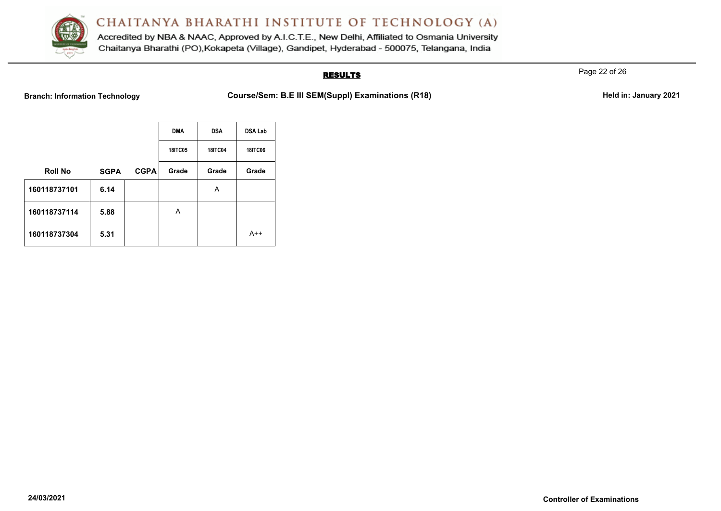

Accredited by NBA & NAAC, Approved by A.I.C.T.E., New Delhi, Affiliated to Osmania University Chaitanya Bharathi (PO), Kokapeta (Village), Gandipet, Hyderabad - 500075, Telangana, India

# **RESULTS**

Page 22 of 26

Branch: Information Technology **Course/Sem: B.E III SEM(Suppl) Examinations (R18)** Held in: January 2021

|                |             |             | <b>DMA</b>     | <b>DSA</b>     | <b>DSA Lab</b> |
|----------------|-------------|-------------|----------------|----------------|----------------|
|                |             |             | <b>18ITC05</b> | <b>18ITC04</b> | <b>18ITC06</b> |
| <b>Roll No</b> | <b>SGPA</b> | <b>CGPA</b> | Grade          | Grade          | Grade          |
| 160118737101   | 6.14        |             |                | A              |                |
| 160118737114   | 5.88        |             | A              |                |                |
| 160118737304   | 5.31        |             |                |                | $A++$          |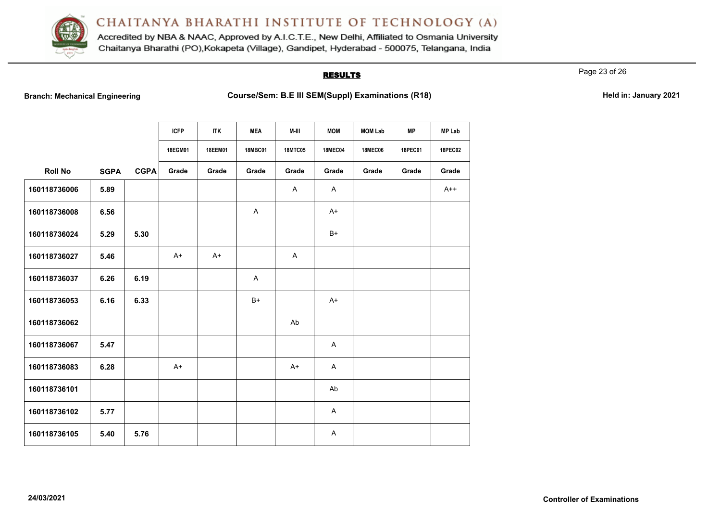

Accredited by NBA & NAAC, Approved by A.I.C.T.E., New Delhi, Affiliated to Osmania University Chaitanya Bharathi (PO), Kokapeta (Village), Gandipet, Hyderabad - 500075, Telangana, India

### **RESULTS**

Page 23 of 26

Branch: Mechanical Engineering **Course/Sem: B.E III SEM(Suppl) Examinations (R18)** Held in: January 2021

|                |             |             | <b>ICFP</b> | <b>ITK</b> | <b>MEA</b>     | M-III          | <b>MOM</b>     | <b>MOM Lab</b> | <b>MP</b>      | <b>MP Lab</b>  |
|----------------|-------------|-------------|-------------|------------|----------------|----------------|----------------|----------------|----------------|----------------|
|                |             |             | 18EGM01     | 18EEM01    | <b>18MBC01</b> | <b>18MTC05</b> | <b>18MEC04</b> | <b>18MEC06</b> | <b>18PEC01</b> | <b>18PEC02</b> |
| <b>Roll No</b> | <b>SGPA</b> | <b>CGPA</b> | Grade       | Grade      | Grade          | Grade          | Grade          | Grade          | Grade          | Grade          |
| 160118736006   | 5.89        |             |             |            |                | A              | A              |                |                | $A++$          |
| 160118736008   | 6.56        |             |             |            | A              |                | $A+$           |                |                |                |
| 160118736024   | 5.29        | 5.30        |             |            |                |                | $B+$           |                |                |                |
| 160118736027   | 5.46        |             | $A+$        | $A+$       |                | A              |                |                |                |                |
| 160118736037   | 6.26        | 6.19        |             |            | Α              |                |                |                |                |                |
| 160118736053   | 6.16        | 6.33        |             |            | $B+$           |                | $A+$           |                |                |                |
| 160118736062   |             |             |             |            |                | Ab             |                |                |                |                |
| 160118736067   | 5.47        |             |             |            |                |                | A              |                |                |                |
| 160118736083   | 6.28        |             | $A+$        |            |                | $A+$           | A              |                |                |                |
| 160118736101   |             |             |             |            |                |                | Ab             |                |                |                |
| 160118736102   | 5.77        |             |             |            |                |                | A              |                |                |                |
| 160118736105   | 5.40        | 5.76        |             |            |                |                | A              |                |                |                |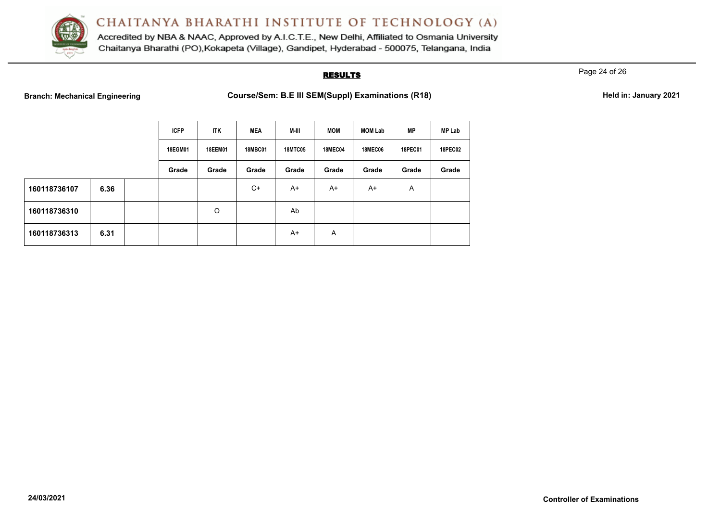

Accredited by NBA & NAAC, Approved by A.I.C.T.E., New Delhi, Affiliated to Osmania University Chaitanya Bharathi (PO), Kokapeta (Village), Gandipet, Hyderabad - 500075, Telangana, India

### **RESULTS**

Page 24 of 26

**Branch: Mechanical Engineering <b>Course/Sem: B.E III SEM(Suppl) Examinations (R18) Held in: January 2021** 

|  | Held in: January 2021 |  |
|--|-----------------------|--|
|  |                       |  |

|              |      | <b>ICFP</b> | <b>ITK</b>     | <b>MEA</b>     | M-III          | <b>MOM</b>     | <b>MOM Lab</b> | <b>MP</b>      | <b>MP Lab</b>  |
|--------------|------|-------------|----------------|----------------|----------------|----------------|----------------|----------------|----------------|
|              |      | 18EGM01     | <b>18EEM01</b> | <b>18MBC01</b> | <b>18MTC05</b> | <b>18MEC04</b> | <b>18MEC06</b> | <b>18PEC01</b> | <b>18PEC02</b> |
|              |      | Grade       | Grade          | Grade          | Grade          | Grade          | Grade          | Grade          | Grade          |
| 160118736107 | 6.36 |             |                | $C+$           | $A+$           | A+             | A+             | Α              |                |
| 160118736310 |      |             | O              |                | Ab             |                |                |                |                |
| 160118736313 | 6.31 |             |                |                | $A+$           | A              |                |                |                |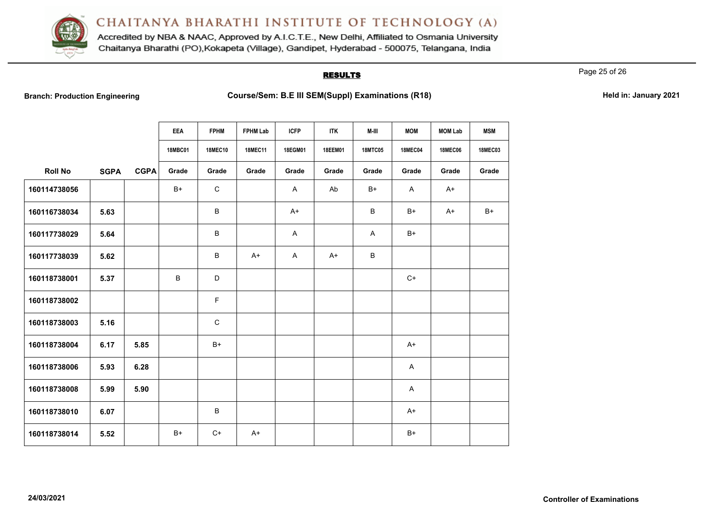

Accredited by NBA & NAAC, Approved by A.I.C.T.E., New Delhi, Affiliated to Osmania University Chaitanya Bharathi (PO), Kokapeta (Village), Gandipet, Hyderabad - 500075, Telangana, India

### **RESULTS**

Page 25 of 26

**Branch: Production Engineering Examinations (R18) Course/Sem: B.E III SEM(Suppl) Examinations (R18) Held in: January 2021** 

|                |             |             | <b>EEA</b>     | <b>FPHM</b>    | <b>FPHM Lab</b> | <b>ICFP</b> | <b>ITK</b> | M-III          | <b>MOM</b>     | <b>MOM Lab</b> | <b>MSM</b>     |
|----------------|-------------|-------------|----------------|----------------|-----------------|-------------|------------|----------------|----------------|----------------|----------------|
|                |             |             | <b>18MBC01</b> | <b>18MEC10</b> | <b>18MEC11</b>  | 18EGM01     | 18EEM01    | <b>18MTC05</b> | <b>18MEC04</b> | <b>18MEC06</b> | <b>18MEC03</b> |
| <b>Roll No</b> | <b>SGPA</b> | <b>CGPA</b> | Grade          | Grade          | Grade           | Grade       | Grade      | Grade          | Grade          | Grade          | Grade          |
| 160114738056   |             |             | $B+$           | $\mathsf C$    |                 | A           | Ab         | $B+$           | A              | $A+$           |                |
| 160116738034   | 5.63        |             |                | B              |                 | $A+$        |            | B              | $B+$           | $A+$           | $B+$           |
| 160117738029   | 5.64        |             |                | B              |                 | A           |            | A              | $B+$           |                |                |
| 160117738039   | 5.62        |             |                | B              | $A+$            | A           | $A+$       | B              |                |                |                |
| 160118738001   | 5.37        |             | В              | D              |                 |             |            |                | $C+$           |                |                |
| 160118738002   |             |             |                | $\mathsf F$    |                 |             |            |                |                |                |                |
| 160118738003   | 5.16        |             |                | $\mathsf{C}$   |                 |             |            |                |                |                |                |
| 160118738004   | 6.17        | 5.85        |                | $B+$           |                 |             |            |                | $A+$           |                |                |
| 160118738006   | 5.93        | 6.28        |                |                |                 |             |            |                | A              |                |                |
| 160118738008   | 5.99        | 5.90        |                |                |                 |             |            |                | A              |                |                |
| 160118738010   | 6.07        |             |                | B              |                 |             |            |                | $A+$           |                |                |
| 160118738014   | 5.52        |             | $B+$           | $C+$           | $A+$            |             |            |                | $B+$           |                |                |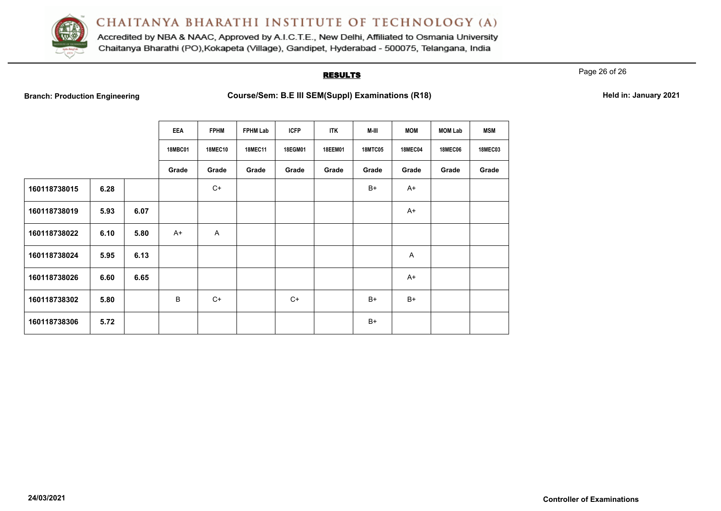

Accredited by NBA & NAAC, Approved by A.I.C.T.E., New Delhi, Affiliated to Osmania University Chaitanya Bharathi (PO), Kokapeta (Village), Gandipet, Hyderabad - 500075, Telangana, India

### **RESULTS**

Page 26 of 26

**Branch: Production Engineering Examinations (R18) Course/Sem: B.E III SEM(Suppl) Examinations (R18) Held in: January 2021** 

|              |      |      | <b>EEA</b>     | <b>FPHM</b>    | <b>FPHM Lab</b> | <b>ICFP</b> | <b>ITK</b>     | M-III          | <b>MOM</b>     | <b>MOM Lab</b> | <b>MSM</b>     |
|--------------|------|------|----------------|----------------|-----------------|-------------|----------------|----------------|----------------|----------------|----------------|
|              |      |      | <b>18MBC01</b> | <b>18MEC10</b> | <b>18MEC11</b>  | 18EGM01     | <b>18EEM01</b> | <b>18MTC05</b> | <b>18MEC04</b> | <b>18MEC06</b> | <b>18MEC03</b> |
|              |      |      | Grade          | Grade          | Grade           | Grade       | Grade          | Grade          | Grade          | Grade          | Grade          |
| 160118738015 | 6.28 |      |                | $C+$           |                 |             |                | $B+$           | $A+$           |                |                |
| 160118738019 | 5.93 | 6.07 |                |                |                 |             |                |                | $A+$           |                |                |
| 160118738022 | 6.10 | 5.80 | $A+$           | Α              |                 |             |                |                |                |                |                |
| 160118738024 | 5.95 | 6.13 |                |                |                 |             |                |                | A              |                |                |
| 160118738026 | 6.60 | 6.65 |                |                |                 |             |                |                | $A+$           |                |                |
| 160118738302 | 5.80 |      | B              | $C+$           |                 | $C+$        |                | $B+$           | $B+$           |                |                |
| 160118738306 | 5.72 |      |                |                |                 |             |                | $B+$           |                |                |                |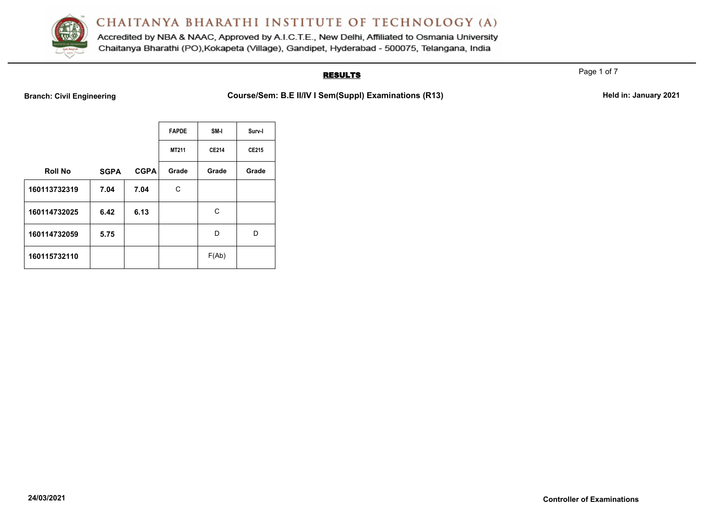

Accredited by NBA & NAAC, Approved by A.I.C.T.E., New Delhi, Affiliated to Osmania University Chaitanya Bharathi (PO), Kokapeta (Village), Gandipet, Hyderabad - 500075, Telangana, India

# **RESULTS**

Page 1 of 7

Branch: Civil Engineering **Course/Sem: B.E II/IV I Sem(Suppl) Examinations (R13)** Held in: January 2021

|                |             |             | <b>FAPDE</b> | SM-I  | Surv-I |
|----------------|-------------|-------------|--------------|-------|--------|
|                |             |             | MT211        | CE214 | CE215  |
| <b>Roll No</b> | <b>SGPA</b> | <b>CGPA</b> | Grade        | Grade | Grade  |
| 160113732319   | 7.04        | 7.04        | С            |       |        |
| 160114732025   | 6.42        | 6.13        |              | С     |        |
| 160114732059   | 5.75        |             |              | D     | D      |
| 160115732110   |             |             |              | F(Ab) |        |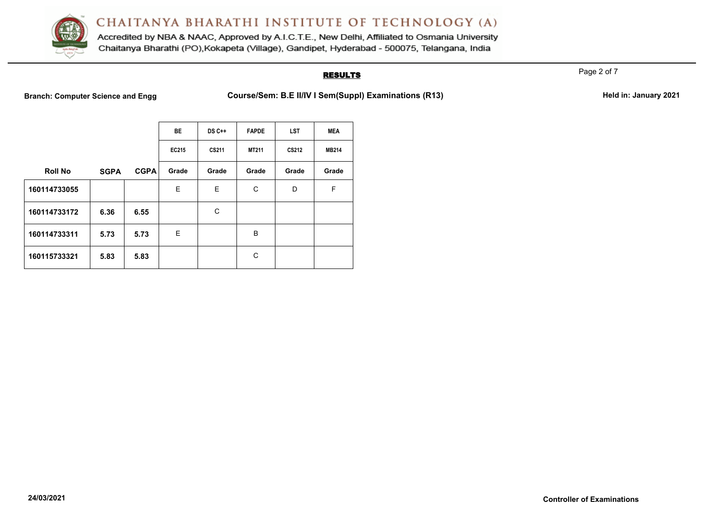

Accredited by NBA & NAAC, Approved by A.I.C.T.E., New Delhi, Affiliated to Osmania University Chaitanya Bharathi (PO), Kokapeta (Village), Gandipet, Hyderabad - 500075, Telangana, India

# **RESULTS**

Page 2 of 7

Branch: Computer Science and Engg **Course/Sem: B.E II/IV I Sem(Suppl) Examinations (R13)** Held in: January 2021

|                |             |             | <b>BE</b> | $DS C++$ | <b>FAPDE</b> | <b>LST</b> | <b>MEA</b>   |
|----------------|-------------|-------------|-----------|----------|--------------|------------|--------------|
|                |             |             | EC215     | CS211    | MT211        | CS212      | <b>MB214</b> |
| <b>Roll No</b> | <b>SGPA</b> | <b>CGPA</b> | Grade     | Grade    | Grade        | Grade      | Grade        |
| 160114733055   |             |             | E         | E        | С            | D          | F            |
| 160114733172   | 6.36        | 6.55        |           | C        |              |            |              |
| 160114733311   | 5.73        | 5.73        | E         |          | В            |            |              |
| 160115733321   | 5.83        | 5.83        |           |          | С            |            |              |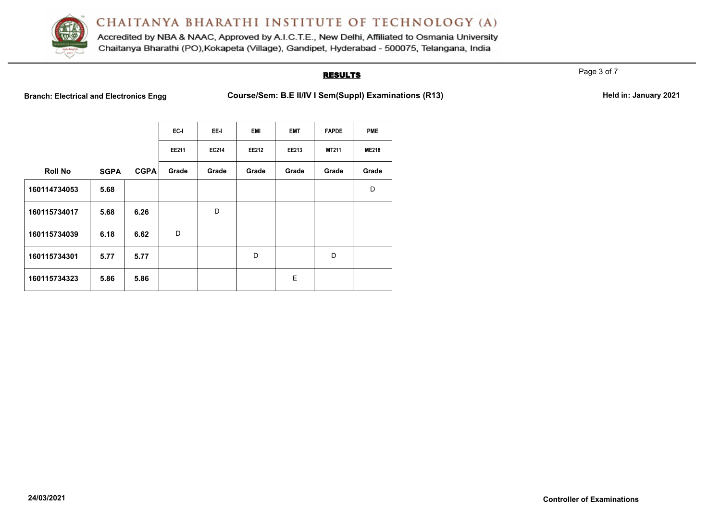

Accredited by NBA & NAAC, Approved by A.I.C.T.E., New Delhi, Affiliated to Osmania University Chaitanya Bharathi (PO), Kokapeta (Village), Gandipet, Hyderabad - 500075, Telangana, India

### **RESULTS**

Page 3 of 7

Branch: Electrical and Electronics Engg **Course/Sem: B.E II/IV I Sem(Suppl) Examinations (R13)** Held in: January 2021

|                |             |             | EC-I  | EE-I  | <b>EMI</b> | <b>EMT</b> | <b>FAPDE</b> | <b>PME</b>   |
|----------------|-------------|-------------|-------|-------|------------|------------|--------------|--------------|
|                |             |             | EE211 | EC214 | EE212      | EE213      | MT211        | <b>ME218</b> |
| <b>Roll No</b> | <b>SGPA</b> | <b>CGPA</b> | Grade | Grade | Grade      | Grade      | Grade        | Grade        |
| 160114734053   | 5.68        |             |       |       |            |            |              | D            |
| 160115734017   | 5.68        | 6.26        |       | D     |            |            |              |              |
| 160115734039   | 6.18        | 6.62        | D     |       |            |            |              |              |
| 160115734301   | 5.77        | 5.77        |       |       | D          |            | D            |              |
| 160115734323   | 5.86        | 5.86        |       |       |            | E          |              |              |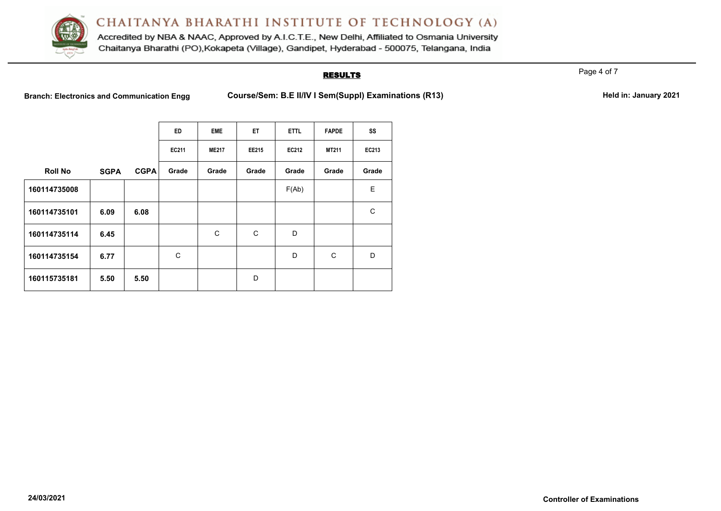

Accredited by NBA & NAAC, Approved by A.I.C.T.E., New Delhi, Affiliated to Osmania University Chaitanya Bharathi (PO), Kokapeta (Village), Gandipet, Hyderabad - 500075, Telangana, India

### **RESULTS**

Page 4 of 7

Branch: Electronics and Communication Engg Course/Sem: B.E II/IV I Sem(Suppl) Examinations (R13) Held in: January 2021

|                |             |             | ED    | <b>EME</b>   | <b>ET</b> | <b>ETTL</b> | <b>FAPDE</b> | SS    |
|----------------|-------------|-------------|-------|--------------|-----------|-------------|--------------|-------|
|                |             |             | EC211 | <b>ME217</b> | EE215     | EC212       | <b>MT211</b> | EC213 |
| <b>Roll No</b> | <b>SGPA</b> | <b>CGPA</b> | Grade | Grade        | Grade     | Grade       | Grade        | Grade |
| 160114735008   |             |             |       |              |           | F(Ab)       |              | E     |
| 160114735101   | 6.09        | 6.08        |       |              |           |             |              | C     |
| 160114735114   | 6.45        |             |       | C            | C         | D           |              |       |
| 160114735154   | 6.77        |             | C     |              |           | D           | C            | D     |
| 160115735181   | 5.50        | 5.50        |       |              | D         |             |              |       |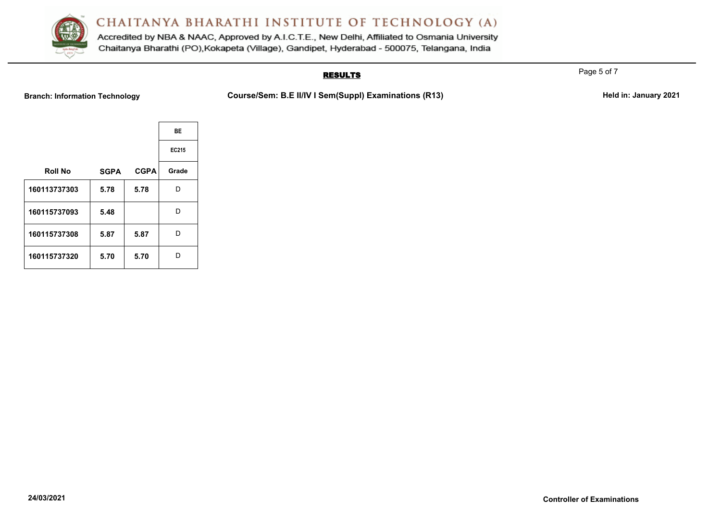

Accredited by NBA & NAAC, Approved by A.I.C.T.E., New Delhi, Affiliated to Osmania University Chaitanya Bharathi (PO), Kokapeta (Village), Gandipet, Hyderabad - 500075, Telangana, India

# **RESULTS**

Branch: Information Technology **Course/Sem: B.E II/IV I Sem(Suppl) Examinations (R13)** Held in: January 2021

|             |             | BE    |
|-------------|-------------|-------|
|             |             | EC215 |
| <b>SGPA</b> | <b>CGPA</b> | Grade |
| 5.78        | 5.78        | D     |
| 5.48        |             | D     |
| 5.87        | 5.87        | D     |
| 5.70        | 5.70        | n     |
|             |             |       |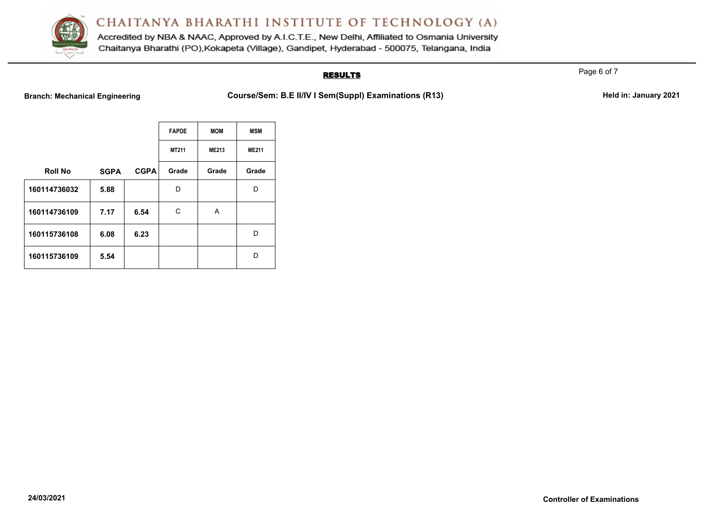

Accredited by NBA & NAAC, Approved by A.I.C.T.E., New Delhi, Affiliated to Osmania University Chaitanya Bharathi (PO), Kokapeta (Village), Gandipet, Hyderabad - 500075, Telangana, India

# **RESULTS**

Branch: Mechanical Engineering **Course/Sem: B.E II/IV I Sem(Suppl) Examinations (R13)** Held in: January 2021

|                |             |             | <b>FAPDE</b> | <b>MOM</b>   | <b>MSM</b>   |
|----------------|-------------|-------------|--------------|--------------|--------------|
|                |             |             | MT211        | <b>ME213</b> | <b>ME211</b> |
| <b>Roll No</b> | <b>SGPA</b> | <b>CGPA</b> | Grade        | Grade        | Grade        |
| 160114736032   | 5.88        |             | D            |              | D            |
| 160114736109   | 7.17        | 6.54        | С            | A            |              |
| 160115736108   | 6.08        | 6.23        |              |              | D            |
| 160115736109   | 5.54        |             |              |              | D            |